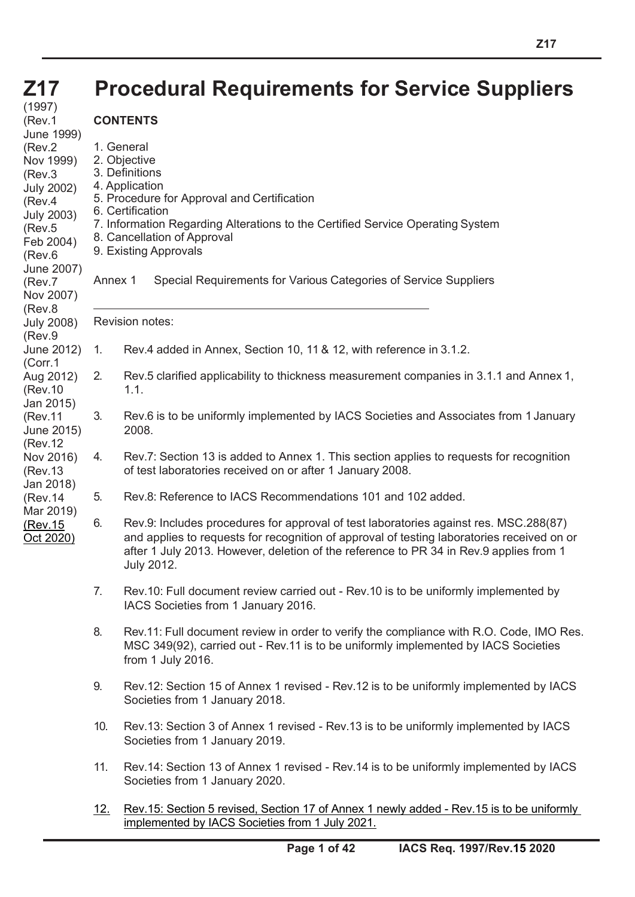## **Z17**

# **Procedural Requirements for Service Suppliers**

(1997) (Rev.1 June 1999) (Rev.2 Nov 1999) (Rev.3 July 2002) (Rev.4 July 2003) (Rev.5 Feb 2004) (Rev.6 June 2007) (Rev.7 Nov 2007) (Rev.8 July 2008) (Rev.9 June 2012) (Corr.1 Aug 2012) (Rev.10 Jan 2015) (Rev.11 June 2015) (Rev.12 Nov 2016) (Rev.13 Jan 2018) (Rev.14 Mar 2019) (Rev.15 Oct 2020) **CONTENTS**

1. General 2. Objective 3. Definitions 4. Application 5. Procedure for Approval and Certification 6. Certification 7. Information Regarding Alterations to the Certified Service Operating System 8. Cancellation of Approval 9. Existing Approvals Annex 1 Special Requirements for Various Categories of Service Suppliers Revision notes: 1. Rev.4 added in Annex, Section 10, 11 & 12, with reference in 3.1.2. 2. Rev.5 clarified applicability to thickness measurement companies in 3.1.1 and Annex 1, 1.1. 3. Rev.6 is to be uniformly implemented by IACS Societies and Associates from 1 January 2008. 4. Rev.7: Section 13 is added to Annex 1. This section applies to requests for recognition of test laboratories received on or after 1 January 2008. 5. Rev.8: Reference to IACS Recommendations 101 and 102 added. 6. Rev.9: Includes procedures for approval of test laboratories against res. MSC.288(87) and applies to requests for recognition of approval of testing laboratories received on or after 1 July 2013. However, deletion of the reference to PR 34 in Rev.9 applies from 1 July 2012. 7. Rev.10: Full document review carried out - Rev.10 is to be uniformly implemented by IACS Societies from 1 January 2016. 8. Rev.11: Full document review in order to verify the compliance with R.O. Code, IMO Res. MSC 349(92), carried out - Rev.11 is to be uniformly implemented by IACS Societies from 1 July 2016. 9. Rev.12: Section 15 of Annex 1 revised - Rev.12 is to be uniformly implemented by IACS Societies from 1 January 2018. 10. Rev.13: Section 3 of Annex 1 revised - Rev.13 is to be uniformly implemented by IACS Societies from 1 January 2019.

- 11. Rev.14: Section 13 of Annex 1 revised Rev.14 is to be uniformly implemented by IACS Societies from 1 January 2020.
- 12. Rev.15: Section 5 revised, Section 17 of Annex 1 newly added Rev.15 is to be uniformly implemented by IACS Societies from 1 July 2021.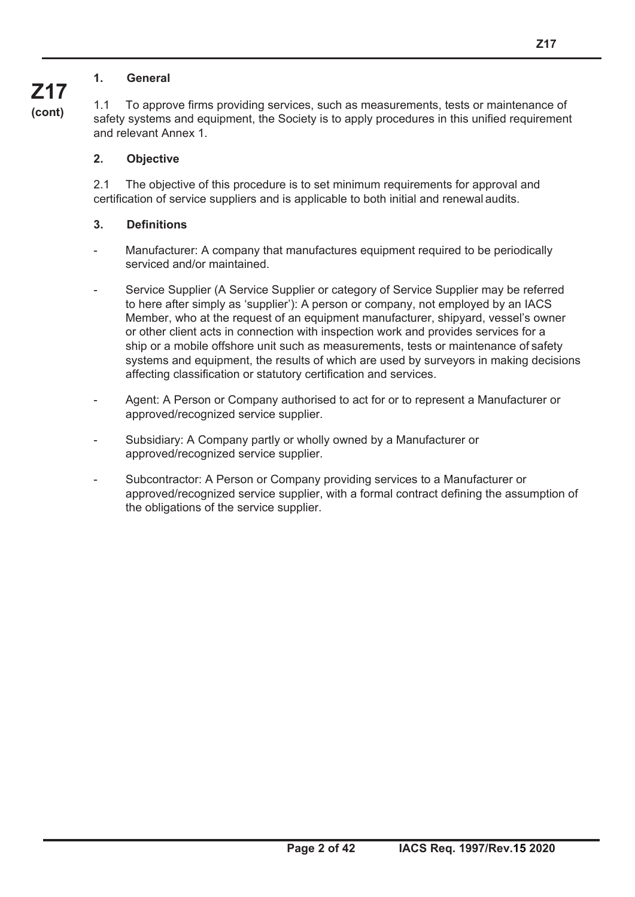#### **1. General**

1.1 To approve firms providing services, such as measurements, tests or maintenance of safety systems and equipment, the Society is to apply procedures in this unified requirement and relevant Annex 1.

#### **2. Objective**

2.1 The objective of this procedure is to set minimum requirements for approval and certification of service suppliers and is applicable to both initial and renewal audits.

#### **3. Definitions**

- Manufacturer: A company that manufactures equipment required to be periodically serviced and/or maintained.
- Service Supplier (A Service Supplier or category of Service Supplier may be referred to here after simply as 'supplier'): A person or company, not employed by an IACS Member, who at the request of an equipment manufacturer, shipyard, vessel's owner or other client acts in connection with inspection work and provides services for a ship or a mobile offshore unit such as measurements, tests or maintenance of safety systems and equipment, the results of which are used by surveyors in making decisions affecting classification or statutory certification and services.
- Agent: A Person or Company authorised to act for or to represent a Manufacturer or approved/recognized service supplier.
- Subsidiary: A Company partly or wholly owned by a Manufacturer or approved/recognized service supplier.
- Subcontractor: A Person or Company providing services to a Manufacturer or approved/recognized service supplier, with a formal contract defining the assumption of the obligations of the service supplier.

## **Z17 (cont)**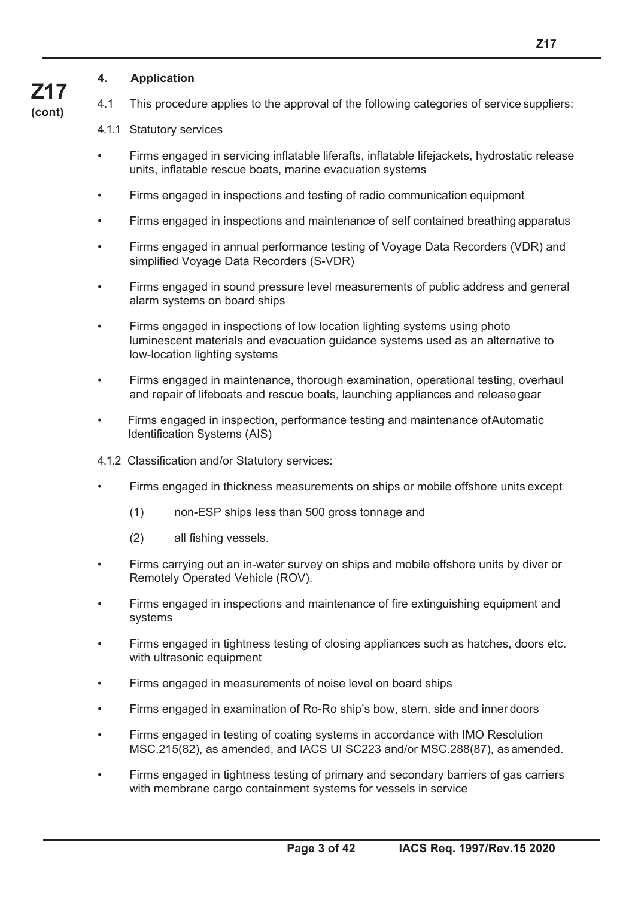#### **4. Application**

**Z17 (cont)**

- 4.1 This procedure applies to the approval of the following categories of service suppliers:
- 4.1.1 Statutory services
- Firms engaged in servicing inflatable liferafts, inflatable lifejackets, hydrostatic release units, inflatable rescue boats, marine evacuation systems
- Firms engaged in inspections and testing of radio communication equipment
- Firms engaged in inspections and maintenance of self contained breathing apparatus
- Firms engaged in annual performance testing of Voyage Data Recorders (VDR) and simplified Voyage Data Recorders (S-VDR)
- Firms engaged in sound pressure level measurements of public address and general alarm systems on board ships
- Firms engaged in inspections of low location lighting systems using photo luminescent materials and evacuation guidance systems used as an alternative to low-location lighting systems
- Firms engaged in maintenance, thorough examination, operational testing, overhaul and repair of lifeboats and rescue boats, launching appliances and release gear
- Firms engaged in inspection, performance testing and maintenance of Automatic Identification Systems (AIS)
- 4.1.2 Classification and/or Statutory services:
- Firms engaged in thickness measurements on ships or mobile offshore units except
	- (1) non-ESP ships less than 500 gross tonnage and
	- (2) all fishing vessels.
- Firms carrying out an in-water survey on ships and mobile offshore units by diver or Remotely Operated Vehicle (ROV).
- Firms engaged in inspections and maintenance of fire extinguishing equipment and systems
- Firms engaged in tightness testing of closing appliances such as hatches, doors etc. with ultrasonic equipment
- Firms engaged in measurements of noise level on board ships
- Firms engaged in examination of Ro-Ro ship's bow, stern, side and inner doors
- Firms engaged in testing of coating systems in accordance with IMO Resolution MSC.215(82), as amended, and IACS UI SC223 and/or MSC.288(87), as amended.
- Firms engaged in tightness testing of primary and secondary barriers of gas carriers with membrane cargo containment systems for vessels in service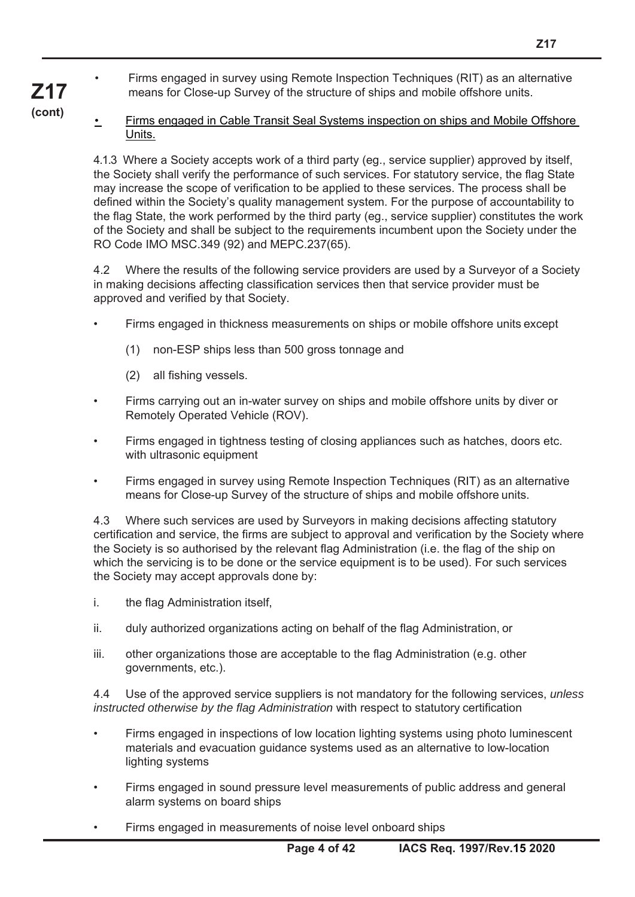- Firms engaged in survey using Remote Inspection Techniques (RIT) as an alternative means for Close-up Survey of the structure of ships and mobile offshore units.
- **Z17 (cont)**

• Firms engaged in Cable Transit Seal Systems inspection on ships and Mobile Offshore Units.

4.1.3 Where a Society accepts work of a third party (eg., service supplier) approved by itself, the Society shall verify the performance of such services. For statutory service, the flag State may increase the scope of verification to be applied to these services. The process shall be defined within the Society's quality management system. For the purpose of accountability to the flag State, the work performed by the third party (eg., service supplier) constitutes the work of the Society and shall be subject to the requirements incumbent upon the Society under the RO Code IMO MSC.349 (92) and MEPC.237(65).

4.2 Where the results of the following service providers are used by a Surveyor of a Society in making decisions affecting classification services then that service provider must be approved and verified by that Society.

- Firms engaged in thickness measurements on ships or mobile offshore units except
	- (1) non-ESP ships less than 500 gross tonnage and
	- (2) all fishing vessels.
- Firms carrying out an in-water survey on ships and mobile offshore units by diver or Remotely Operated Vehicle (ROV).
- Firms engaged in tightness testing of closing appliances such as hatches, doors etc. with ultrasonic equipment
- Firms engaged in survey using Remote Inspection Techniques (RIT) as an alternative means for Close-up Survey of the structure of ships and mobile offshore units.

4.3 Where such services are used by Surveyors in making decisions affecting statutory certification and service, the firms are subject to approval and verification by the Society where the Society is so authorised by the relevant flag Administration (i.e. the flag of the ship on which the servicing is to be done or the service equipment is to be used). For such services the Society may accept approvals done by:

- i. the flag Administration itself,
- ii. duly authorized organizations acting on behalf of the flag Administration, or
- iii. other organizations those are acceptable to the flag Administration (e.g. other governments, etc.).

4.4 Use of the approved service suppliers is not mandatory for the following services, *unless instructed otherwise by the flag Administration* with respect to statutory certification

- Firms engaged in inspections of low location lighting systems using photo luminescent materials and evacuation guidance systems used as an alternative to low-location lighting systems
- Firms engaged in sound pressure level measurements of public address and general alarm systems on board ships
- Firms engaged in measurements of noise level onboard ships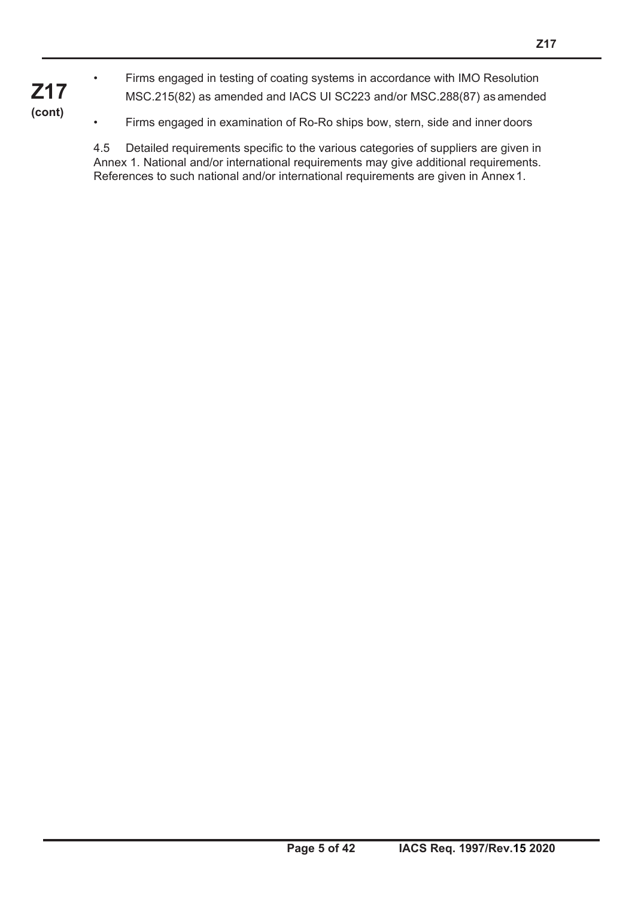• Firms engaged in testing of coating systems in accordance with IMO Resolution MSC.215(82) as amended and IACS UI SC223 and/or MSC.288(87) as amended

**Z17 (cont)**

• Firms engaged in examination of Ro-Ro ships bow, stern, side and inner doors

4.5 Detailed requirements specific to the various categories of suppliers are given in Annex 1. National and/or international requirements may give additional requirements. References to such national and/or international requirements are given in Annex 1.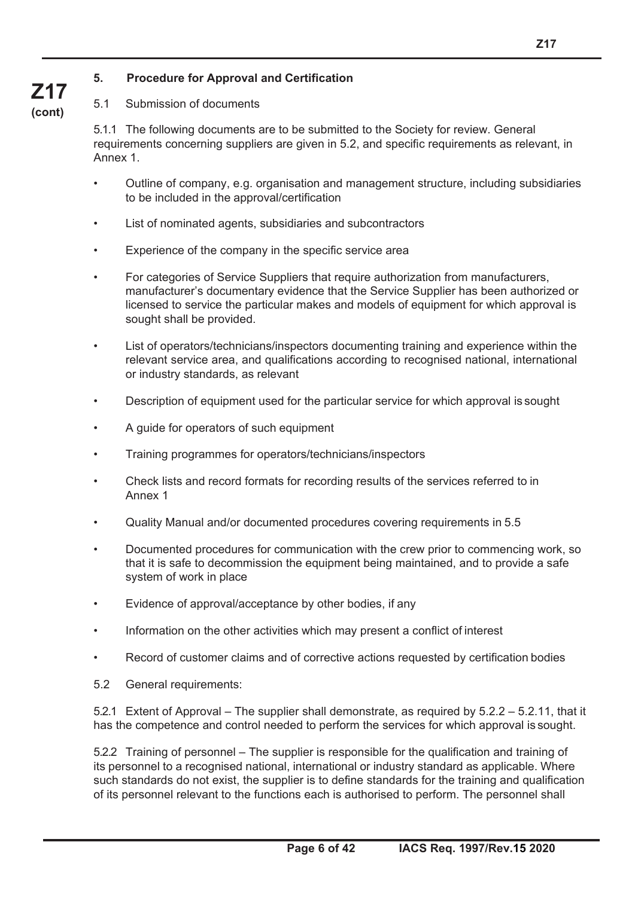#### **5. Procedure for Approval and Certification**

### 5.1 Submission of documents

**Z17 (cont)**

> 5.1.1 The following documents are to be submitted to the Society for review. General requirements concerning suppliers are given in 5.2, and specific requirements as relevant, in Annex 1.

- Outline of company, e.g. organisation and management structure, including subsidiaries to be included in the approval/certification
- List of nominated agents, subsidiaries and subcontractors
- Experience of the company in the specific service area
- For categories of Service Suppliers that require authorization from manufacturers, manufacturer's documentary evidence that the Service Supplier has been authorized or licensed to service the particular makes and models of equipment for which approval is sought shall be provided.
- List of operators/technicians/inspectors documenting training and experience within the relevant service area, and qualifications according to recognised national, international or industry standards, as relevant
- Description of equipment used for the particular service for which approval is sought
- A guide for operators of such equipment
- Training programmes for operators/technicians/inspectors
- Check lists and record formats for recording results of the services referred to in Annex 1
- Quality Manual and/or documented procedures covering requirements in 5.5
- Documented procedures for communication with the crew prior to commencing work, so that it is safe to decommission the equipment being maintained, and to provide a safe system of work in place
- Evidence of approval/acceptance by other bodies, if any
- Information on the other activities which may present a conflict of interest
- Record of customer claims and of corrective actions requested by certification bodies
- 5.2 General requirements:

5.2.1 Extent of Approval – The supplier shall demonstrate, as required by 5.2.2 – 5.2.11, that it has the competence and control needed to perform the services for which approval is sought.

5.2.2 Training of personnel – The supplier is responsible for the qualification and training of its personnel to a recognised national, international or industry standard as applicable. Where such standards do not exist, the supplier is to define standards for the training and qualification of its personnel relevant to the functions each is authorised to perform. The personnel shall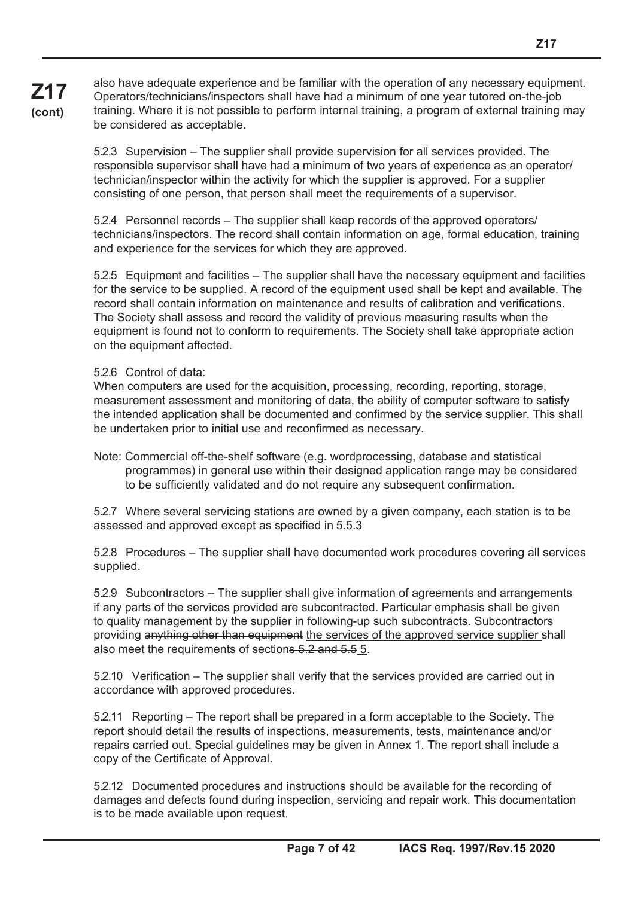**Z17 (cont)** also have adequate experience and be familiar with the operation of any necessary equipment. Operators/technicians/inspectors shall have had a minimum of one year tutored on-the-job training. Where it is not possible to perform internal training, a program of external training may be considered as acceptable.

> 5.2.3 Supervision – The supplier shall provide supervision for all services provided. The responsible supervisor shall have had a minimum of two years of experience as an operator/ technician/inspector within the activity for which the supplier is approved. For a supplier consisting of one person, that person shall meet the requirements of a supervisor.

5.2.4 Personnel records – The supplier shall keep records of the approved operators/ technicians/inspectors. The record shall contain information on age, formal education, training and experience for the services for which they are approved.

5.2.5 Equipment and facilities – The supplier shall have the necessary equipment and facilities for the service to be supplied. A record of the equipment used shall be kept and available. The record shall contain information on maintenance and results of calibration and verifications. The Society shall assess and record the validity of previous measuring results when the equipment is found not to conform to requirements. The Society shall take appropriate action on the equipment affected.

5.2.6 Control of data:

When computers are used for the acquisition, processing, recording, reporting, storage, measurement assessment and monitoring of data, the ability of computer software to satisfy the intended application shall be documented and confirmed by the service supplier. This shall be undertaken prior to initial use and reconfirmed as necessary.

Note: Commercial off-the-shelf software (e.g. wordprocessing, database and statistical programmes) in general use within their designed application range may be considered to be sufficiently validated and do not require any subsequent confirmation.

5.2.7 Where several servicing stations are owned by a given company, each station is to be assessed and approved except as specified in 5.5.3

5.2.8 Procedures – The supplier shall have documented work procedures covering all services supplied.

5.2.9 Subcontractors – The supplier shall give information of agreements and arrangements if any parts of the services provided are subcontracted. Particular emphasis shall be given to quality management by the supplier in following-up such subcontracts. Subcontractors providing anything other than equipment the services of the approved service supplier shall also meet the requirements of sections 5.2 and 5.5 5.

5.2.10 Verification – The supplier shall verify that the services provided are carried out in accordance with approved procedures.

5.2.11 Reporting – The report shall be prepared in a form acceptable to the Society. The report should detail the results of inspections, measurements, tests, maintenance and/or repairs carried out. Special guidelines may be given in Annex 1. The report shall include a copy of the Certificate of Approval.

5.2.12 Documented procedures and instructions should be available for the recording of damages and defects found during inspection, servicing and repair work. This documentation is to be made available upon request.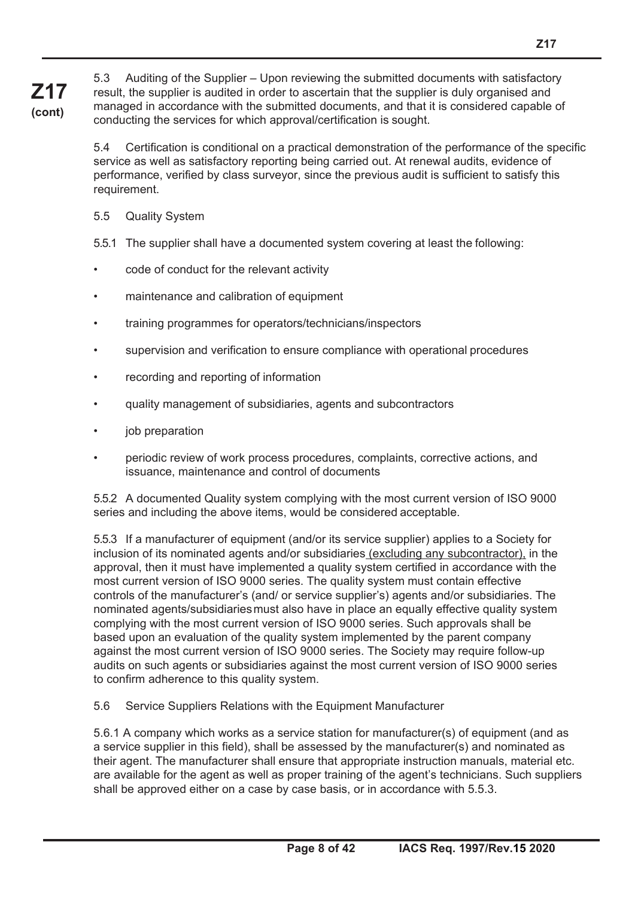5.3 Auditing of the Supplier – Upon reviewing the submitted documents with satisfactory result, the supplier is audited in order to ascertain that the supplier is duly organised and managed in accordance with the submitted documents, and that it is considered capable of conducting the services for which approval/certification is sought.

5.4 Certification is conditional on a practical demonstration of the performance of the specific service as well as satisfactory reporting being carried out. At renewal audits, evidence of performance, verified by class surveyor, since the previous audit is sufficient to satisfy this requirement.

5.5 Quality System

**Z17 (cont)**

5.5.1 The supplier shall have a documented system covering at least the following:

- code of conduct for the relevant activity
- maintenance and calibration of equipment
- training programmes for operators/technicians/inspectors
- supervision and verification to ensure compliance with operational procedures
- recording and reporting of information
- quality management of subsidiaries, agents and subcontractors
- job preparation
- periodic review of work process procedures, complaints, corrective actions, and issuance, maintenance and control of documents

5.5.2 A documented Quality system complying with the most current version of ISO 9000 series and including the above items, would be considered acceptable.

5.5.3 If a manufacturer of equipment (and/or its service supplier) applies to a Society for inclusion of its nominated agents and/or subsidiaries (excluding any subcontractor), in the approval, then it must have implemented a quality system certified in accordance with the most current version of ISO 9000 series. The quality system must contain effective controls of the manufacturer's (and/ or service supplier's) agents and/or subsidiaries. The nominated agents/subsidiaries must also have in place an equally effective quality system complying with the most current version of ISO 9000 series. Such approvals shall be based upon an evaluation of the quality system implemented by the parent company against the most current version of ISO 9000 series. The Society may require follow-up audits on such agents or subsidiaries against the most current version of ISO 9000 series to confirm adherence to this quality system.

5.6 Service Suppliers Relations with the Equipment Manufacturer

5.6.1 A company which works as a service station for manufacturer(s) of equipment (and as a service supplier in this field), shall be assessed by the manufacturer(s) and nominated as their agent. The manufacturer shall ensure that appropriate instruction manuals, material etc. are available for the agent as well as proper training of the agent's technicians. Such suppliers shall be approved either on a case by case basis, or in accordance with 5.5.3.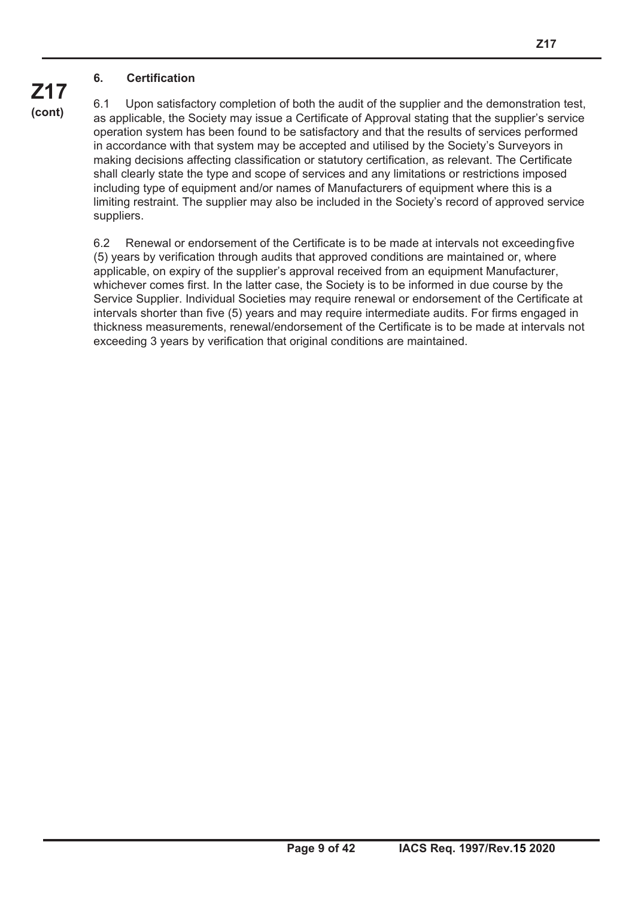#### **6. Certification**

6.1 Upon satisfactory completion of both the audit of the supplier and the demonstration test, as applicable, the Society may issue a Certificate of Approval stating that the supplier's service operation system has been found to be satisfactory and that the results of services performed in accordance with that system may be accepted and utilised by the Society's Surveyors in making decisions affecting classification or statutory certification, as relevant. The Certificate shall clearly state the type and scope of services and any limitations or restrictions imposed including type of equipment and/or names of Manufacturers of equipment where this is a limiting restraint. The supplier may also be included in the Society's record of approved service suppliers.

6.2 Renewal or endorsement of the Certificate is to be made at intervals not exceeding five (5) years by verification through audits that approved conditions are maintained or, where applicable, on expiry of the supplier's approval received from an equipment Manufacturer, whichever comes first. In the latter case, the Society is to be informed in due course by the Service Supplier. Individual Societies may require renewal or endorsement of the Certificate at intervals shorter than five (5) years and may require intermediate audits. For firms engaged in thickness measurements, renewal/endorsement of the Certificate is to be made at intervals not exceeding 3 years by verification that original conditions are maintained.

**Z17 (cont)**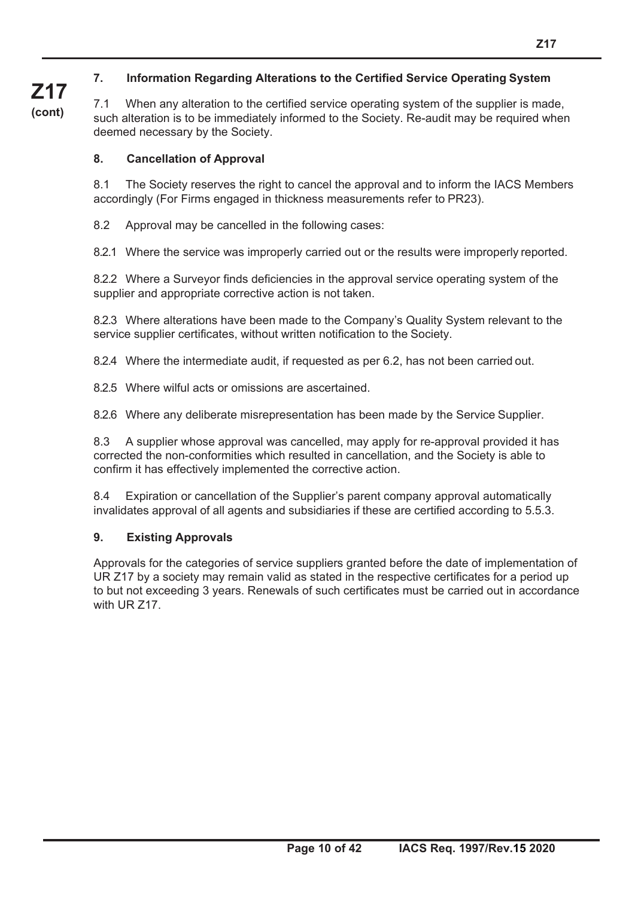### **7. Information Regarding Alterations to the Certified Service Operating System**

**Z17 (cont)**

7.1 When any alteration to the certified service operating system of the supplier is made, such alteration is to be immediately informed to the Society. Re-audit may be required when deemed necessary by the Society.

#### **8. Cancellation of Approval**

8.1 The Society reserves the right to cancel the approval and to inform the IACS Members accordingly (For Firms engaged in thickness measurements refer to PR23).

8.2 Approval may be cancelled in the following cases:

8.2.1 Where the service was improperly carried out or the results were improperly reported.

8.2.2 Where a Surveyor finds deficiencies in the approval service operating system of the supplier and appropriate corrective action is not taken.

8.2.3 Where alterations have been made to the Company's Quality System relevant to the service supplier certificates, without written notification to the Society.

8.2.4 Where the intermediate audit, if requested as per 6.2, has not been carried out.

8.2.5 Where wilful acts or omissions are ascertained.

8.2.6 Where any deliberate misrepresentation has been made by the Service Supplier.

8.3 A supplier whose approval was cancelled, may apply for re-approval provided it has corrected the non-conformities which resulted in cancellation, and the Society is able to confirm it has effectively implemented the corrective action.

8.4 Expiration or cancellation of the Supplier's parent company approval automatically invalidates approval of all agents and subsidiaries if these are certified according to 5.5.3.

#### **9. Existing Approvals**

Approvals for the categories of service suppliers granted before the date of implementation of UR Z17 by a society may remain valid as stated in the respective certificates for a period up to but not exceeding 3 years. Renewals of such certificates must be carried out in accordance with UR 717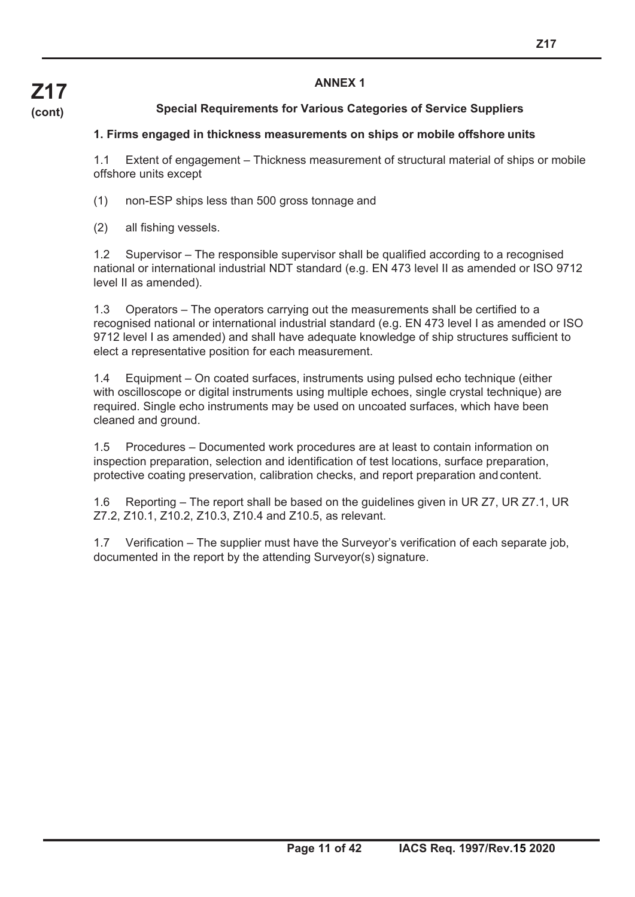#### **ANNEX 1**

### **Special Requirements for Various Categories of Service Suppliers**

#### **1. Firms engaged in thickness measurements on ships or mobile offshore units**

1.1 Extent of engagement – Thickness measurement of structural material of ships or mobile offshore units except

- (1) non-ESP ships less than 500 gross tonnage and
- (2) all fishing vessels.

1.2 Supervisor – The responsible supervisor shall be qualified according to a recognised national or international industrial NDT standard (e.g. EN 473 level II as amended or ISO 9712 level II as amended).

1.3 Operators – The operators carrying out the measurements shall be certified to a recognised national or international industrial standard (e.g. EN 473 level I as amended or ISO 9712 level I as amended) and shall have adequate knowledge of ship structures sufficient to elect a representative position for each measurement.

1.4 Equipment – On coated surfaces, instruments using pulsed echo technique (either with oscilloscope or digital instruments using multiple echoes, single crystal technique) are required. Single echo instruments may be used on uncoated surfaces, which have been cleaned and ground.

1.5 Procedures – Documented work procedures are at least to contain information on inspection preparation, selection and identification of test locations, surface preparation, protective coating preservation, calibration checks, and report preparation and content.

1.6 Reporting – The report shall be based on the guidelines given in UR Z7, UR Z7.1, UR Z7.2, Z10.1, Z10.2, Z10.3, Z10.4 and Z10.5, as relevant.

1.7 Verification – The supplier must have the Surveyor's verification of each separate job, documented in the report by the attending Surveyor(s) signature.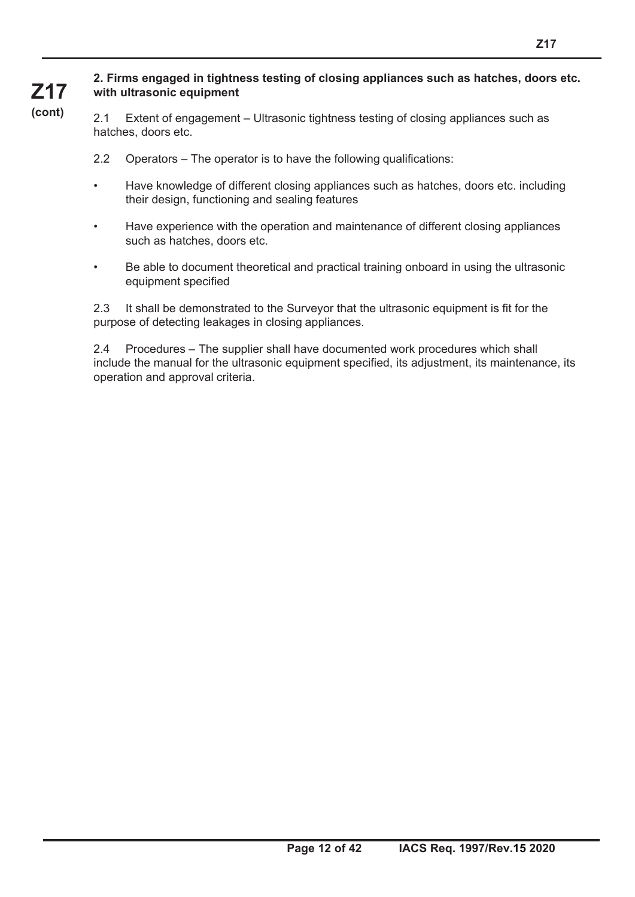#### **2. Firms engaged in tightness testing of closing appliances such as hatches, doors etc. with ultrasonic equipment**

**Z17 (cont)**

2.1 Extent of engagement – Ultrasonic tightness testing of closing appliances such as hatches, doors etc.

- 2.2 Operators The operator is to have the following qualifications:
- Have knowledge of different closing appliances such as hatches, doors etc. including their design, functioning and sealing features
- Have experience with the operation and maintenance of different closing appliances such as hatches, doors etc.
- Be able to document theoretical and practical training onboard in using the ultrasonic equipment specified

2.3 It shall be demonstrated to the Surveyor that the ultrasonic equipment is fit for the purpose of detecting leakages in closing appliances.

2.4 Procedures – The supplier shall have documented work procedures which shall include the manual for the ultrasonic equipment specified, its adjustment, its maintenance, its operation and approval criteria.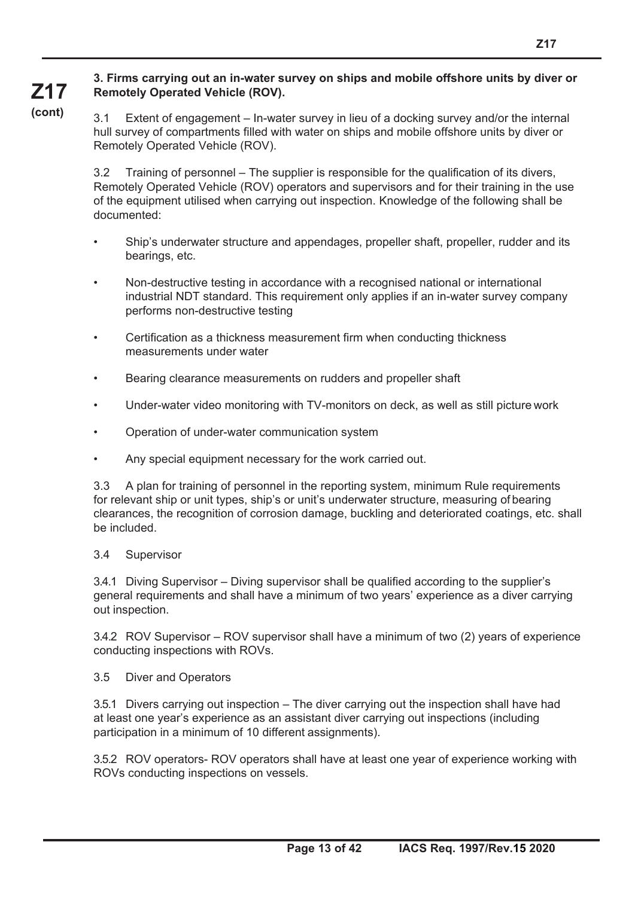#### **3. Firms carrying out an in-water survey on ships and mobile offshore units by diver or Remotely Operated Vehicle (ROV).**

**Z17 (cont)**

3.1 Extent of engagement – In-water survey in lieu of a docking survey and/or the internal hull survey of compartments filled with water on ships and mobile offshore units by diver or Remotely Operated Vehicle (ROV).

3.2 Training of personnel – The supplier is responsible for the qualification of its divers, Remotely Operated Vehicle (ROV) operators and supervisors and for their training in the use of the equipment utilised when carrying out inspection. Knowledge of the following shall be documented:

- Ship's underwater structure and appendages, propeller shaft, propeller, rudder and its bearings, etc.
- Non-destructive testing in accordance with a recognised national or international industrial NDT standard. This requirement only applies if an in-water survey company performs non-destructive testing
- Certification as a thickness measurement firm when conducting thickness measurements under water
- Bearing clearance measurements on rudders and propeller shaft
- Under-water video monitoring with TV-monitors on deck, as well as still picture work
- Operation of under-water communication system
- Any special equipment necessary for the work carried out.

3.3 A plan for training of personnel in the reporting system, minimum Rule requirements for relevant ship or unit types, ship's or unit's underwater structure, measuring of bearing clearances, the recognition of corrosion damage, buckling and deteriorated coatings, etc. shall be included.

#### 3.4 Supervisor

3.4.1 Diving Supervisor – Diving supervisor shall be qualified according to the supplier's general requirements and shall have a minimum of two years' experience as a diver carrying out inspection.

3.4.2 ROV Supervisor – ROV supervisor shall have a minimum of two (2) years of experience conducting inspections with ROVs.

#### 3.5 Diver and Operators

3.5.1 Divers carrying out inspection – The diver carrying out the inspection shall have had at least one year's experience as an assistant diver carrying out inspections (including participation in a minimum of 10 different assignments).

3.5.2 ROV operators- ROV operators shall have at least one year of experience working with ROVs conducting inspections on vessels.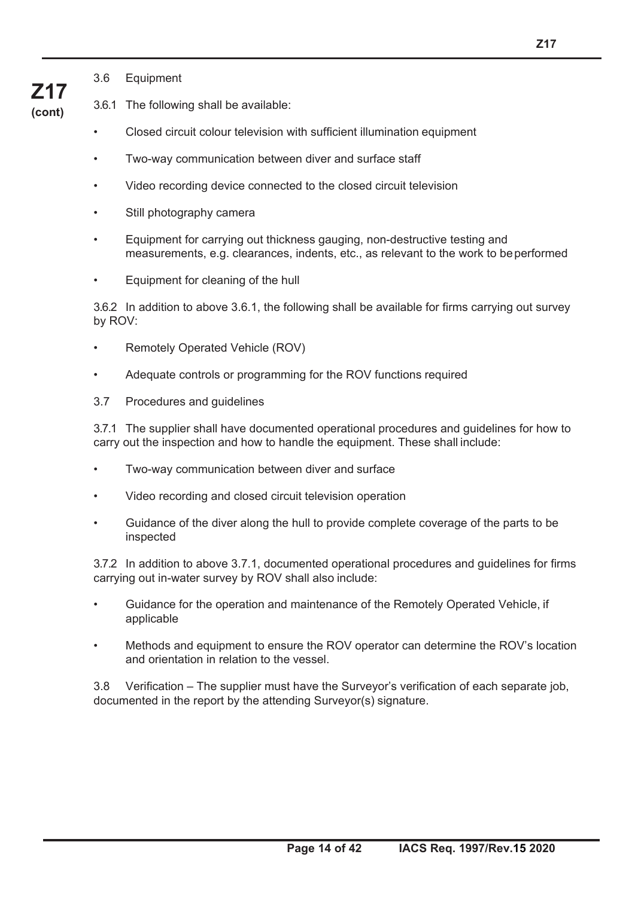3.6 Equipment

**Z17 (cont)**

- 3.6.1 The following shall be available:
	- Closed circuit colour television with sufficient illumination equipment
	- Two-way communication between diver and surface staff
	- Video recording device connected to the closed circuit television
	- Still photography camera
	- Equipment for carrying out thickness gauging, non-destructive testing and measurements, e.g. clearances, indents, etc., as relevant to the work to be performed
	- Equipment for cleaning of the hull

3.6.2 In addition to above 3.6.1, the following shall be available for firms carrying out survey by ROV:

- Remotely Operated Vehicle (ROV)
- Adequate controls or programming for the ROV functions required
- 3.7 Procedures and guidelines

3.7.1 The supplier shall have documented operational procedures and guidelines for how to carry out the inspection and how to handle the equipment. These shall include:

- Two-way communication between diver and surface
- Video recording and closed circuit television operation
- Guidance of the diver along the hull to provide complete coverage of the parts to be inspected

3.7.2 In addition to above 3.7.1, documented operational procedures and guidelines for firms carrying out in-water survey by ROV shall also include:

- Guidance for the operation and maintenance of the Remotely Operated Vehicle, if applicable
- Methods and equipment to ensure the ROV operator can determine the ROV's location and orientation in relation to the vessel.

3.8 Verification – The supplier must have the Surveyor's verification of each separate job, documented in the report by the attending Surveyor(s) signature.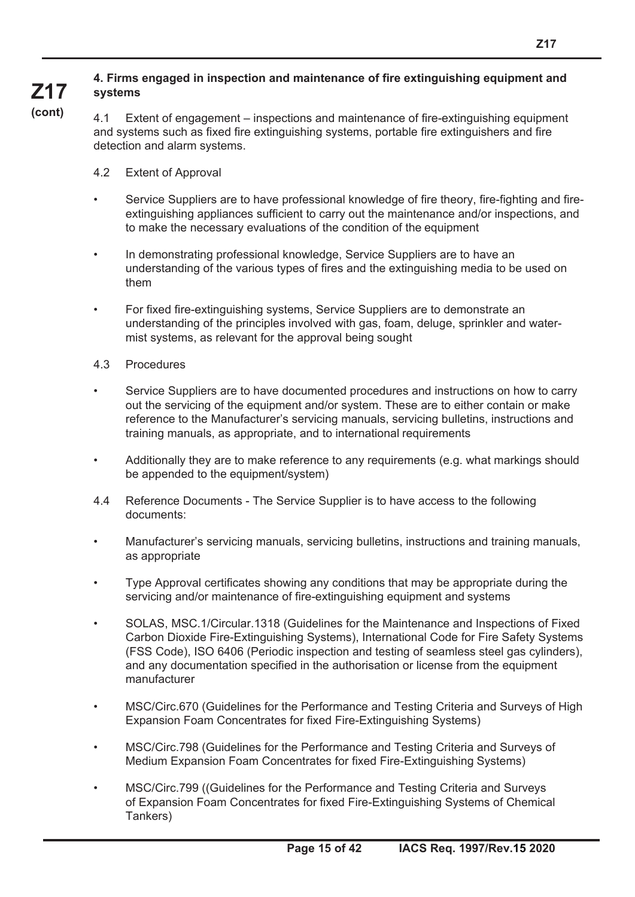#### **Z17 4. Firms engaged in inspection and maintenance of fire extinguishing equipment and systems**

**(cont)**

4.1 Extent of engagement – inspections and maintenance of fire-extinguishing equipment and systems such as fixed fire extinguishing systems, portable fire extinguishers and fire detection and alarm systems.

- 4.2 Extent of Approval
- Service Suppliers are to have professional knowledge of fire theory, fire-fighting and fireextinguishing appliances sufficient to carry out the maintenance and/or inspections, and to make the necessary evaluations of the condition of the equipment
- In demonstrating professional knowledge, Service Suppliers are to have an understanding of the various types of fires and the extinguishing media to be used on them
- For fixed fire-extinguishing systems, Service Suppliers are to demonstrate an understanding of the principles involved with gas, foam, deluge, sprinkler and watermist systems, as relevant for the approval being sought
- 4.3 Procedures
- Service Suppliers are to have documented procedures and instructions on how to carry out the servicing of the equipment and/or system. These are to either contain or make reference to the Manufacturer's servicing manuals, servicing bulletins, instructions and training manuals, as appropriate, and to international requirements
- Additionally they are to make reference to any requirements (e.g. what markings should be appended to the equipment/system)
- 4.4 Reference Documents The Service Supplier is to have access to the following documents:
- Manufacturer's servicing manuals, servicing bulletins, instructions and training manuals, as appropriate
- Type Approval certificates showing any conditions that may be appropriate during the servicing and/or maintenance of fire-extinguishing equipment and systems
- SOLAS, MSC.1/Circular.1318 (Guidelines for the Maintenance and Inspections of Fixed Carbon Dioxide Fire-Extinguishing Systems), International Code for Fire Safety Systems (FSS Code), ISO 6406 (Periodic inspection and testing of seamless steel gas cylinders), and any documentation specified in the authorisation or license from the equipment manufacturer
- MSC/Circ.670 (Guidelines for the Performance and Testing Criteria and Surveys of High Expansion Foam Concentrates for fixed Fire-Extinguishing Systems)
- MSC/Circ.798 (Guidelines for the Performance and Testing Criteria and Surveys of Medium Expansion Foam Concentrates for fixed Fire-Extinguishing Systems)
- MSC/Circ.799 ((Guidelines for the Performance and Testing Criteria and Surveys of Expansion Foam Concentrates for fixed Fire-Extinguishing Systems of Chemical Tankers)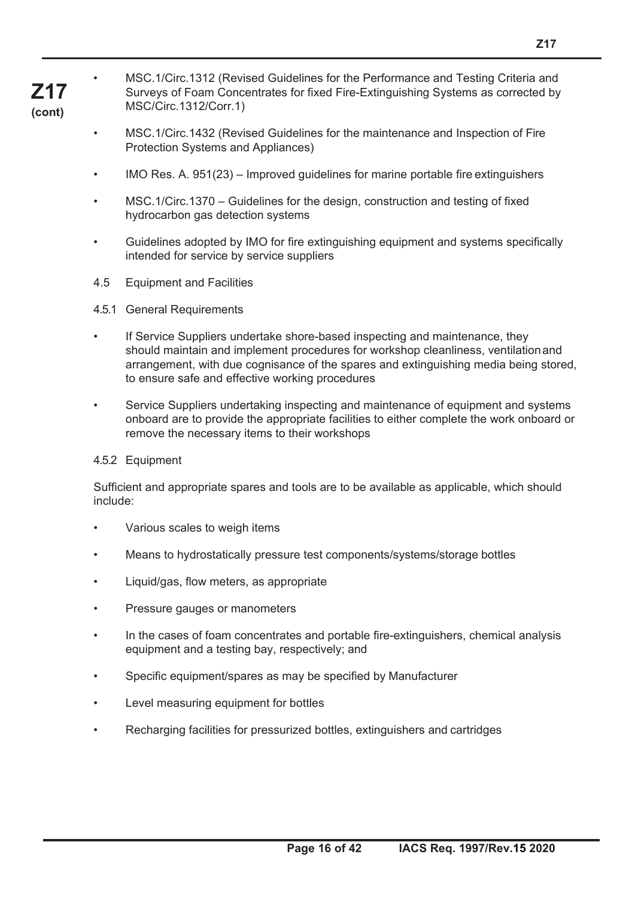**Z17** • MSC.1/Circ.1312 (Revised Guidelines for the Performance and Testing Criteria and Surveys of Foam Concentrates for fixed Fire-Extinguishing Systems as corrected by MSC/Circ.1312/Corr.1)

**(cont)**

- MSC.1/Circ.1432 (Revised Guidelines for the maintenance and Inspection of Fire Protection Systems and Appliances)
- IMO Res. A. 951(23) Improved guidelines for marine portable fire extinguishers
- MSC.1/Circ.1370 Guidelines for the design, construction and testing of fixed hydrocarbon gas detection systems
- Guidelines adopted by IMO for fire extinguishing equipment and systems specifically intended for service by service suppliers
- 4.5 Equipment and Facilities
- 4.5.1 General Requirements
- If Service Suppliers undertake shore-based inspecting and maintenance, they should maintain and implement procedures for workshop cleanliness, ventilation and arrangement, with due cognisance of the spares and extinguishing media being stored, to ensure safe and effective working procedures
- Service Suppliers undertaking inspecting and maintenance of equipment and systems onboard are to provide the appropriate facilities to either complete the work onboard or remove the necessary items to their workshops

#### 4.5.2 Equipment

Sufficient and appropriate spares and tools are to be available as applicable, which should include:

- Various scales to weigh items
- Means to hydrostatically pressure test components/systems/storage bottles
- Liquid/gas, flow meters, as appropriate
- Pressure gauges or manometers
- In the cases of foam concentrates and portable fire-extinguishers, chemical analysis equipment and a testing bay, respectively; and
- Specific equipment/spares as may be specified by Manufacturer
- Level measuring equipment for bottles
- Recharging facilities for pressurized bottles, extinguishers and cartridges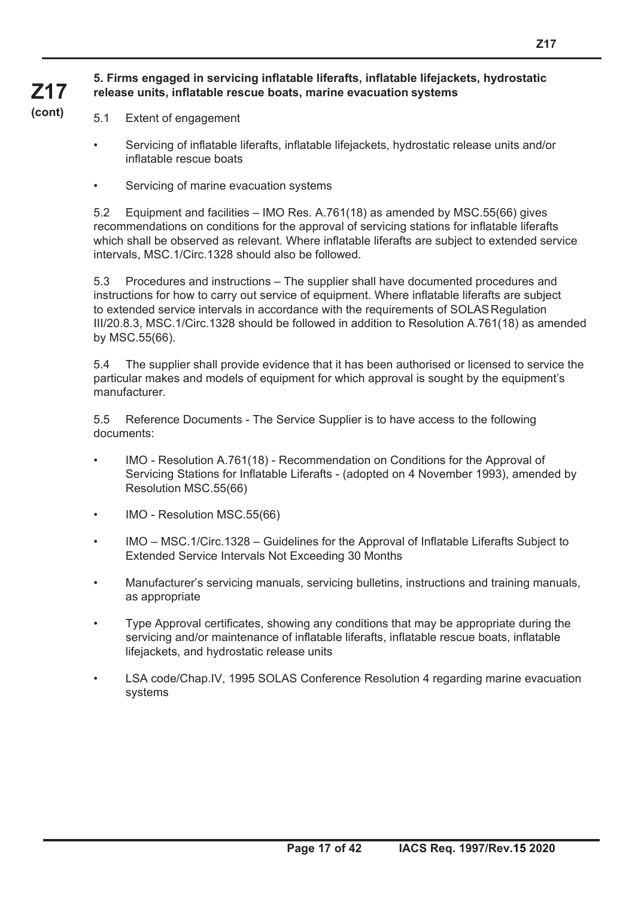#### **5. Firms engaged in servicing inflatable liferafts, inflatable lifejackets, hydrostatic release units, inflatable rescue boats, marine evacuation systems**

**(cont)**

**Z17**

- 5.1 Extent of engagement
	- Servicing of inflatable liferafts, inflatable lifejackets, hydrostatic release units and/or inflatable rescue boats
	- Servicing of marine evacuation systems

5.2 Equipment and facilities – IMO Res. A.761(18) as amended by MSC.55(66) gives recommendations on conditions for the approval of servicing stations for inflatable liferafts which shall be observed as relevant. Where inflatable liferafts are subject to extended service intervals, MSC.1/Circ.1328 should also be followed.

5.3 Procedures and instructions – The supplier shall have documented procedures and instructions for how to carry out service of equipment. Where inflatable liferafts are subject to extended service intervals in accordance with the requirements of SOLAS Regulation III/20.8.3, MSC.1/Circ.1328 should be followed in addition to Resolution A.761(18) as amended by MSC.55(66).

5.4 The supplier shall provide evidence that it has been authorised or licensed to service the particular makes and models of equipment for which approval is sought by the equipment's manufacturer.

5.5 Reference Documents - The Service Supplier is to have access to the following documents:

- IMO Resolution A.761(18) Recommendation on Conditions for the Approval of Servicing Stations for Inflatable Liferafts - (adopted on 4 November 1993), amended by Resolution MSC.55(66)
- IMO Resolution MSC.55(66)
- IMO MSC.1/Circ.1328 Guidelines for the Approval of Inflatable Liferafts Subject to Extended Service Intervals Not Exceeding 30 Months
- Manufacturer's servicing manuals, servicing bulletins, instructions and training manuals, as appropriate
- Type Approval certificates, showing any conditions that may be appropriate during the servicing and/or maintenance of inflatable liferafts, inflatable rescue boats, inflatable lifejackets, and hydrostatic release units
- LSA code/Chap.IV, 1995 SOLAS Conference Resolution 4 regarding marine evacuation systems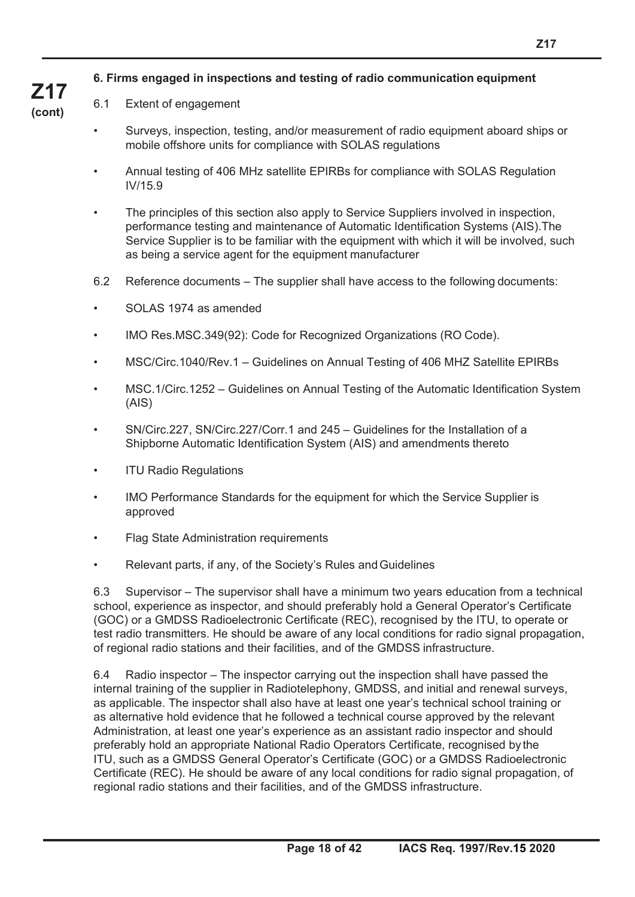#### **6. Firms engaged in inspections and testing of radio communication equipment**

#### 6.1 Extent of engagement

- Surveys, inspection, testing, and/or measurement of radio equipment aboard ships or mobile offshore units for compliance with SOLAS regulations
- Annual testing of 406 MHz satellite EPIRBs for compliance with SOLAS Regulation IV/15.9
- The principles of this section also apply to Service Suppliers involved in inspection, performance testing and maintenance of Automatic Identification Systems (AIS).The Service Supplier is to be familiar with the equipment with which it will be involved, such as being a service agent for the equipment manufacturer
- 6.2 Reference documents The supplier shall have access to the following documents:
- SOLAS 1974 as amended
- IMO Res.MSC.349(92): Code for Recognized Organizations (RO Code).
- MSC/Circ.1040/Rev.1 Guidelines on Annual Testing of 406 MHZ Satellite EPIRBs
- MSC.1/Circ.1252 Guidelines on Annual Testing of the Automatic Identification System (AIS)
- SN/Circ.227, SN/Circ.227/Corr.1 and 245 Guidelines for the Installation of a Shipborne Automatic Identification System (AIS) and amendments thereto
- **ITU Radio Regulations**
- IMO Performance Standards for the equipment for which the Service Supplier is approved
- Flag State Administration requirements
- Relevant parts, if any, of the Society's Rules and Guidelines

6.3 Supervisor – The supervisor shall have a minimum two years education from a technical school, experience as inspector, and should preferably hold a General Operator's Certificate (GOC) or a GMDSS Radioelectronic Certificate (REC), recognised by the ITU, to operate or test radio transmitters. He should be aware of any local conditions for radio signal propagation, of regional radio stations and their facilities, and of the GMDSS infrastructure.

6.4 Radio inspector – The inspector carrying out the inspection shall have passed the internal training of the supplier in Radiotelephony, GMDSS, and initial and renewal surveys, as applicable. The inspector shall also have at least one year's technical school training or as alternative hold evidence that he followed a technical course approved by the relevant Administration, at least one year's experience as an assistant radio inspector and should preferably hold an appropriate National Radio Operators Certificate, recognised by the ITU, such as a GMDSS General Operator's Certificate (GOC) or a GMDSS Radioelectronic Certificate (REC). He should be aware of any local conditions for radio signal propagation, of regional radio stations and their facilities, and of the GMDSS infrastructure.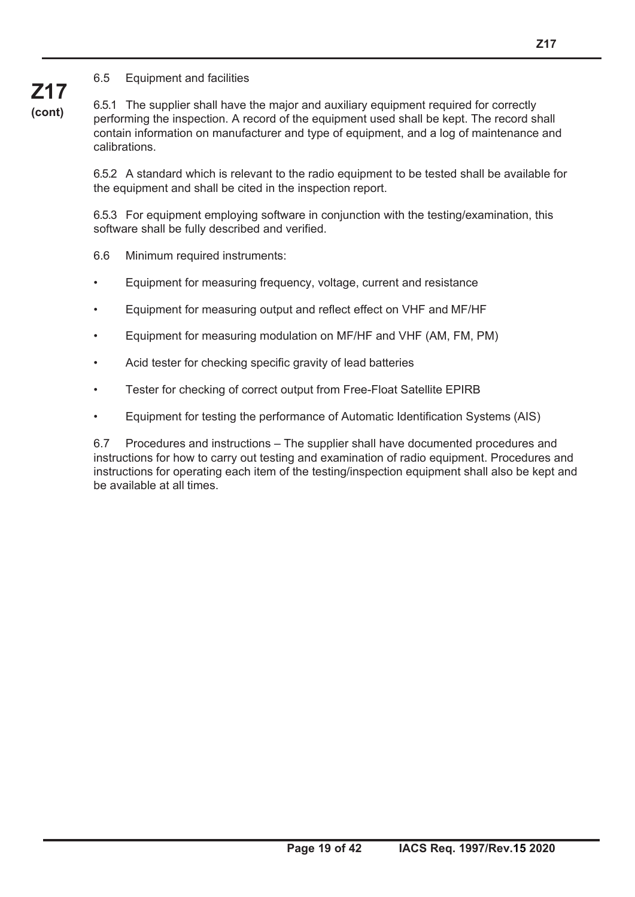#### 6.5 Equipment and facilities

6.5.1 The supplier shall have the major and auxiliary equipment required for correctly performing the inspection. A record of the equipment used shall be kept. The record shall contain information on manufacturer and type of equipment, and a log of maintenance and calibrations.

6.5.2 A standard which is relevant to the radio equipment to be tested shall be available for the equipment and shall be cited in the inspection report.

6.5.3 For equipment employing software in conjunction with the testing/examination, this software shall be fully described and verified.

6.6 Minimum required instruments:

- Equipment for measuring frequency, voltage, current and resistance
- Equipment for measuring output and reflect effect on VHF and MF/HF
- Equipment for measuring modulation on MF/HF and VHF (AM, FM, PM)
- Acid tester for checking specific gravity of lead batteries
- Tester for checking of correct output from Free-Float Satellite EPIRB
- Equipment for testing the performance of Automatic Identification Systems (AIS)

6.7 Procedures and instructions – The supplier shall have documented procedures and instructions for how to carry out testing and examination of radio equipment. Procedures and instructions for operating each item of the testing/inspection equipment shall also be kept and be available at all times.

## **Z17 (cont)**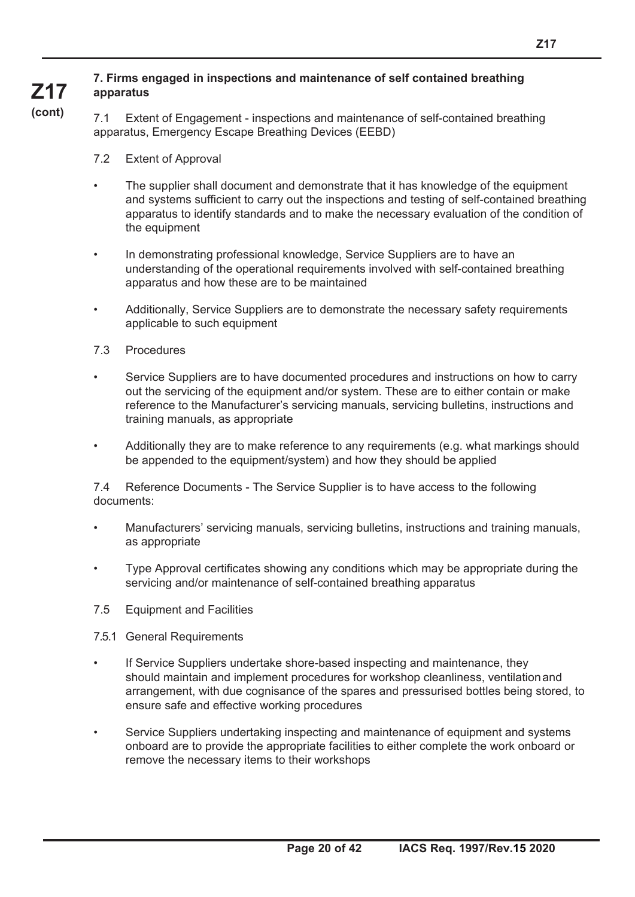#### **Z17 7. Firms engaged in inspections and maintenance of self contained breathing apparatus**

**(cont)**

7.1 Extent of Engagement - inspections and maintenance of self-contained breathing apparatus, Emergency Escape Breathing Devices (EEBD)

- 7.2 Extent of Approval
- The supplier shall document and demonstrate that it has knowledge of the equipment and systems sufficient to carry out the inspections and testing of self-contained breathing apparatus to identify standards and to make the necessary evaluation of the condition of the equipment
- In demonstrating professional knowledge, Service Suppliers are to have an understanding of the operational requirements involved with self-contained breathing apparatus and how these are to be maintained
- Additionally, Service Suppliers are to demonstrate the necessary safety requirements applicable to such equipment
- 7.3 Procedures
- Service Suppliers are to have documented procedures and instructions on how to carry out the servicing of the equipment and/or system. These are to either contain or make reference to the Manufacturer's servicing manuals, servicing bulletins, instructions and training manuals, as appropriate
- Additionally they are to make reference to any requirements (e.g. what markings should be appended to the equipment/system) and how they should be applied

7.4 Reference Documents - The Service Supplier is to have access to the following documents:

- Manufacturers' servicing manuals, servicing bulletins, instructions and training manuals, as appropriate
- Type Approval certificates showing any conditions which may be appropriate during the servicing and/or maintenance of self-contained breathing apparatus
- 7.5 Equipment and Facilities
- 7.5.1 General Requirements
- If Service Suppliers undertake shore-based inspecting and maintenance, they should maintain and implement procedures for workshop cleanliness, ventilation and arrangement, with due cognisance of the spares and pressurised bottles being stored, to ensure safe and effective working procedures
- Service Suppliers undertaking inspecting and maintenance of equipment and systems onboard are to provide the appropriate facilities to either complete the work onboard or remove the necessary items to their workshops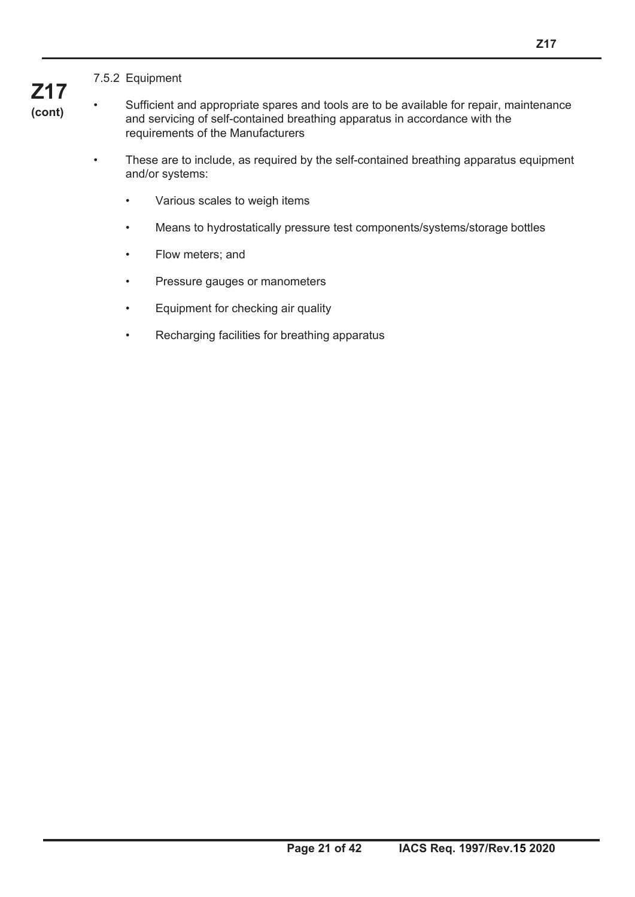#### 7.5.2 Equipment

**Z17 (cont)**

• Sufficient and appropriate spares and tools are to be available for repair, maintenance and servicing of self-contained breathing apparatus in accordance with the requirements of the Manufacturers

- These are to include, as required by the self-contained breathing apparatus equipment and/or systems:
	- Various scales to weigh items
	- Means to hydrostatically pressure test components/systems/storage bottles
	- Flow meters; and
	- Pressure gauges or manometers
	- Equipment for checking air quality
	- Recharging facilities for breathing apparatus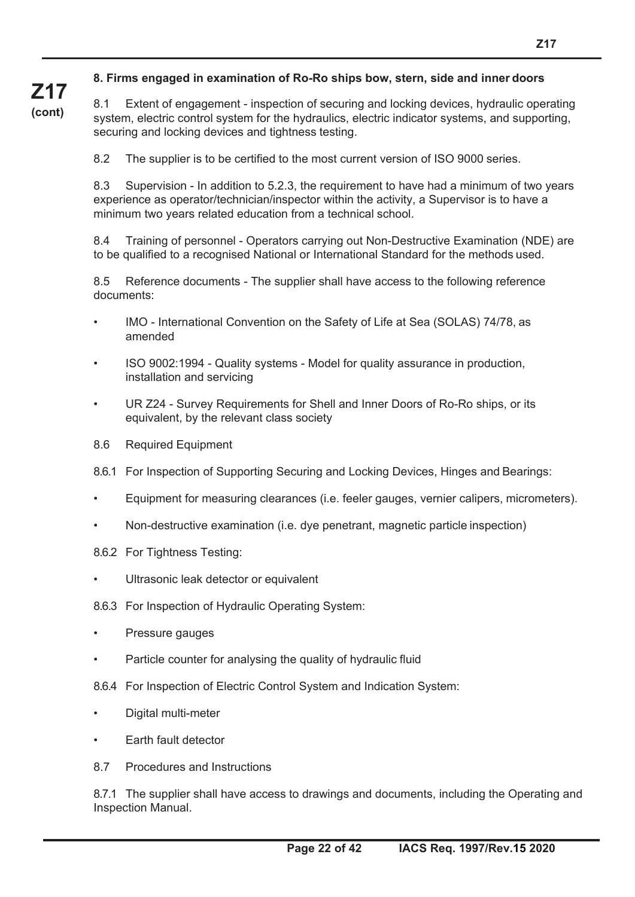#### **8. Firms engaged in examination of Ro-Ro ships bow, stern, side and inner doors**

8.1 Extent of engagement - inspection of securing and locking devices, hydraulic operating system, electric control system for the hydraulics, electric indicator systems, and supporting, securing and locking devices and tightness testing.

8.2 The supplier is to be certified to the most current version of ISO 9000 series.

8.3 Supervision - In addition to 5.2.3, the requirement to have had a minimum of two years experience as operator/technician/inspector within the activity, a Supervisor is to have a minimum two years related education from a technical school.

8.4 Training of personnel - Operators carrying out Non-Destructive Examination (NDE) are to be qualified to a recognised National or International Standard for the methods used.

8.5 Reference documents - The supplier shall have access to the following reference documents:

- IMO International Convention on the Safety of Life at Sea (SOLAS) 74/78, as amended
- ISO 9002:1994 Quality systems Model for quality assurance in production, installation and servicing
- UR Z24 Survey Requirements for Shell and Inner Doors of Ro-Ro ships, or its equivalent, by the relevant class society
- 8.6 Required Equipment

**Z17 (cont)**

- 8.6.1 For Inspection of Supporting Securing and Locking Devices, Hinges and Bearings:
- Equipment for measuring clearances (i.e. feeler gauges, vernier calipers, micrometers).
- Non-destructive examination (i.e. dye penetrant, magnetic particle inspection)
- 8.6.2 For Tightness Testing:
- Ultrasonic leak detector or equivalent
- 8.6.3 For Inspection of Hydraulic Operating System:
- Pressure gauges
- Particle counter for analysing the quality of hydraulic fluid
- 8.6.4 For Inspection of Electric Control System and Indication System:
- Digital multi-meter
- Earth fault detector
- 8.7 Procedures and Instructions

8.7.1 The supplier shall have access to drawings and documents, including the Operating and Inspection Manual.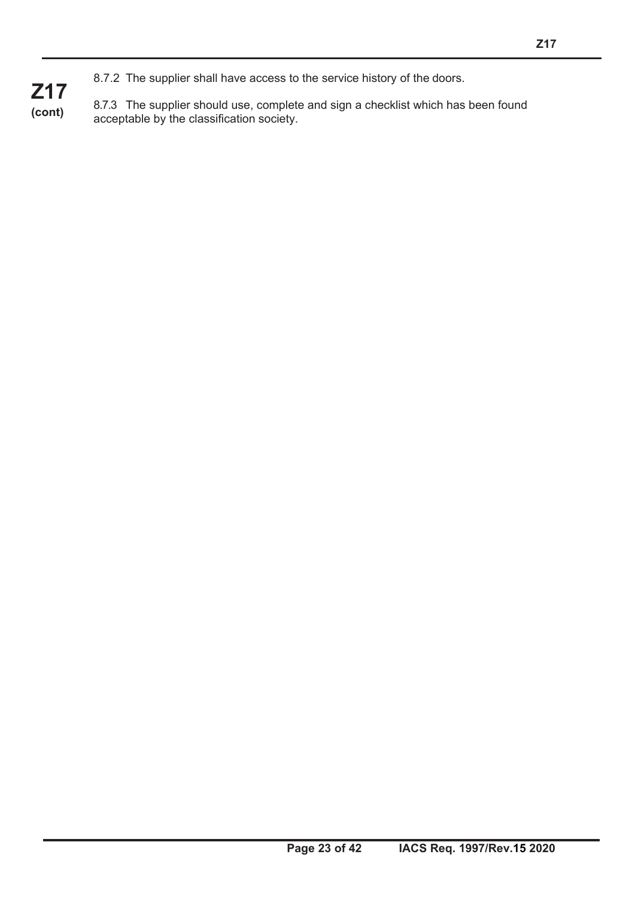**Z17 (cont)** 8.7.3 The supplier should use, complete and sign a checklist which has been found acceptable by the classification society.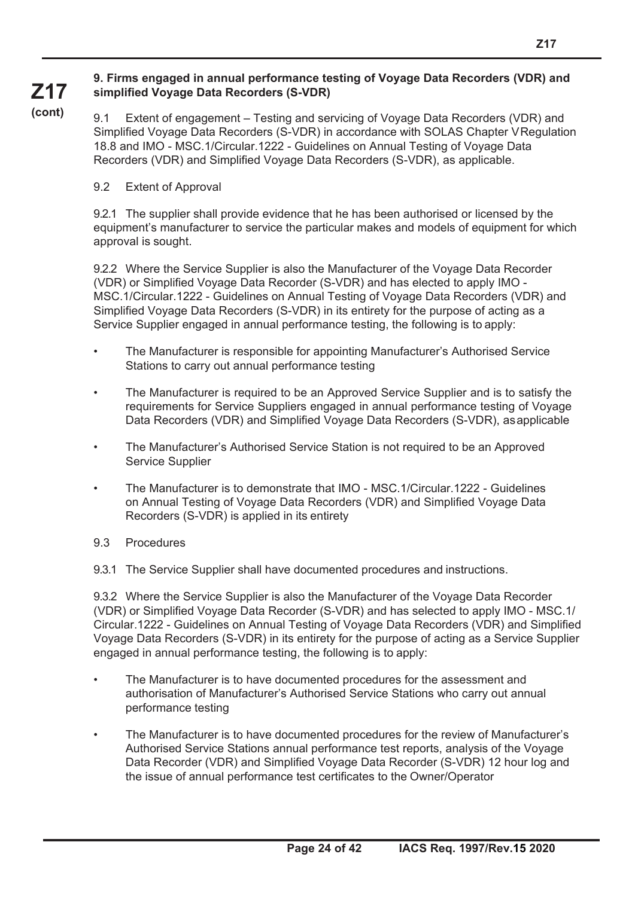#### **9. Firms engaged in annual performance testing of Voyage Data Recorders (VDR) and simplified Voyage Data Recorders (S-VDR)**

**(cont)**

**Z17**

9.1 Extent of engagement – Testing and servicing of Voyage Data Recorders (VDR) and Simplified Voyage Data Recorders (S-VDR) in accordance with SOLAS Chapter V Regulation 18.8 and IMO - MSC.1/Circular.1222 - Guidelines on Annual Testing of Voyage Data Recorders (VDR) and Simplified Voyage Data Recorders (S-VDR), as applicable.

#### 9.2 Extent of Approval

9.2.1 The supplier shall provide evidence that he has been authorised or licensed by the equipment's manufacturer to service the particular makes and models of equipment for which approval is sought.

9.2.2 Where the Service Supplier is also the Manufacturer of the Voyage Data Recorder (VDR) or Simplified Voyage Data Recorder (S-VDR) and has elected to apply IMO - MSC.1/Circular.1222 - Guidelines on Annual Testing of Voyage Data Recorders (VDR) and Simplified Voyage Data Recorders (S-VDR) in its entirety for the purpose of acting as a Service Supplier engaged in annual performance testing, the following is to apply:

- The Manufacturer is responsible for appointing Manufacturer's Authorised Service Stations to carry out annual performance testing
- The Manufacturer is required to be an Approved Service Supplier and is to satisfy the requirements for Service Suppliers engaged in annual performance testing of Voyage Data Recorders (VDR) and Simplified Voyage Data Recorders (S-VDR), as applicable
- The Manufacturer's Authorised Service Station is not required to be an Approved Service Supplier
- The Manufacturer is to demonstrate that IMO MSC.1/Circular.1222 Guidelines on Annual Testing of Voyage Data Recorders (VDR) and Simplified Voyage Data Recorders (S-VDR) is applied in its entirety
- 9.3 Procedures

9.3.1 The Service Supplier shall have documented procedures and instructions.

9.3.2 Where the Service Supplier is also the Manufacturer of the Voyage Data Recorder (VDR) or Simplified Voyage Data Recorder (S-VDR) and has selected to apply IMO - MSC.1/ Circular.1222 - Guidelines on Annual Testing of Voyage Data Recorders (VDR) and Simplified Voyage Data Recorders (S-VDR) in its entirety for the purpose of acting as a Service Supplier engaged in annual performance testing, the following is to apply:

- The Manufacturer is to have documented procedures for the assessment and authorisation of Manufacturer's Authorised Service Stations who carry out annual performance testing
- The Manufacturer is to have documented procedures for the review of Manufacturer's Authorised Service Stations annual performance test reports, analysis of the Voyage Data Recorder (VDR) and Simplified Voyage Data Recorder (S-VDR) 12 hour log and the issue of annual performance test certificates to the Owner/Operator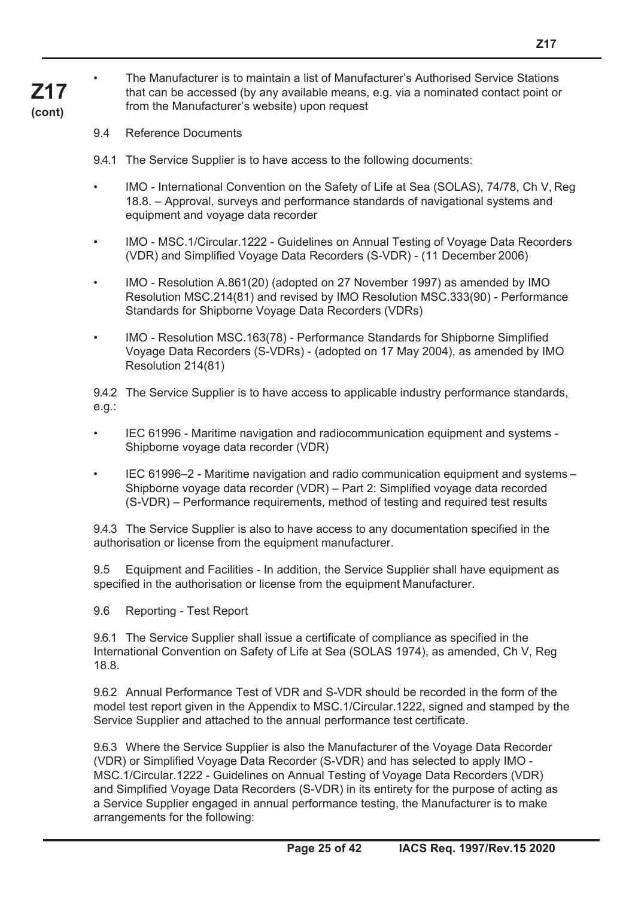9.4 Reference Documents

9.4.1 The Service Supplier is to have access to the following documents:

- IMO International Convention on the Safety of Life at Sea (SOLAS), 74/78, Ch V, Reg 18.8. – Approval, surveys and performance standards of navigational systems and equipment and voyage data recorder
- IMO MSC.1/Circular.1222 Guidelines on Annual Testing of Voyage Data Recorders (VDR) and Simplified Voyage Data Recorders (S-VDR) - (11 December 2006)
- IMO Resolution A.861(20) (adopted on 27 November 1997) as amended by IMO Resolution MSC.214(81) and revised by IMO Resolution MSC.333(90) - Performance Standards for Shipborne Voyage Data Recorders (VDRs)
- IMO Resolution MSC.163(78) Performance Standards for Shipborne Simplified Voyage Data Recorders (S-VDRs) - (adopted on 17 May 2004), as amended by IMO Resolution 214(81)

9.4.2 The Service Supplier is to have access to applicable industry performance standards, e.g.:

- IEC 61996 Maritime navigation and radiocommunication equipment and systems Shipborne voyage data recorder (VDR)
- IEC 61996–2 Maritime navigation and radio communication equipment and systems Shipborne voyage data recorder (VDR) – Part 2: Simplified voyage data recorded (S-VDR) – Performance requirements, method of testing and required test results

9.4.3 The Service Supplier is also to have access to any documentation specified in the authorisation or license from the equipment manufacturer.

9.5 Equipment and Facilities - In addition, the Service Supplier shall have equipment as specified in the authorisation or license from the equipment Manufacturer.

9.6 Reporting - Test Report

9.6.1 The Service Supplier shall issue a certificate of compliance as specified in the International Convention on Safety of Life at Sea (SOLAS 1974), as amended, Ch V, Reg 18.8.

9.6.2 Annual Performance Test of VDR and S-VDR should be recorded in the form of the model test report given in the Appendix to MSC.1/Circular.1222, signed and stamped by the Service Supplier and attached to the annual performance test certificate.

9.6.3 Where the Service Supplier is also the Manufacturer of the Voyage Data Recorder (VDR) or Simplified Voyage Data Recorder (S-VDR) and has selected to apply IMO - MSC.1/Circular.1222 - Guidelines on Annual Testing of Voyage Data Recorders (VDR) and Simplified Voyage Data Recorders (S-VDR) in its entirety for the purpose of acting as a Service Supplier engaged in annual performance testing, the Manufacturer is to make arrangements for the following: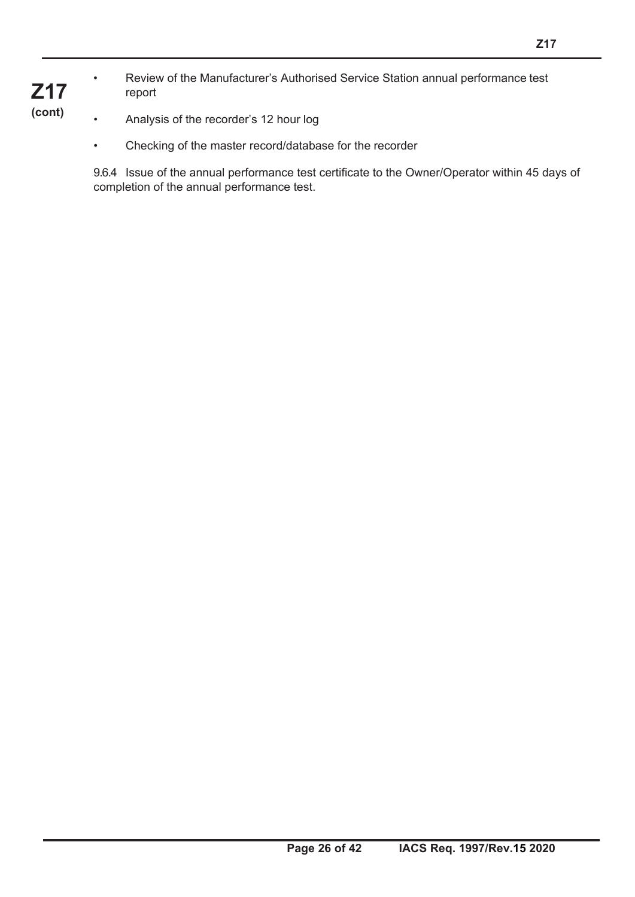• Review of the Manufacturer's Authorised Service Station annual performance test report

- Analysis of the recorder's 12 hour log
	- Checking of the master record/database for the recorder

9.6.4 Issue of the annual performance test certificate to the Owner/Operator within 45 days of completion of the annual performance test.

### **Z17 (cont)**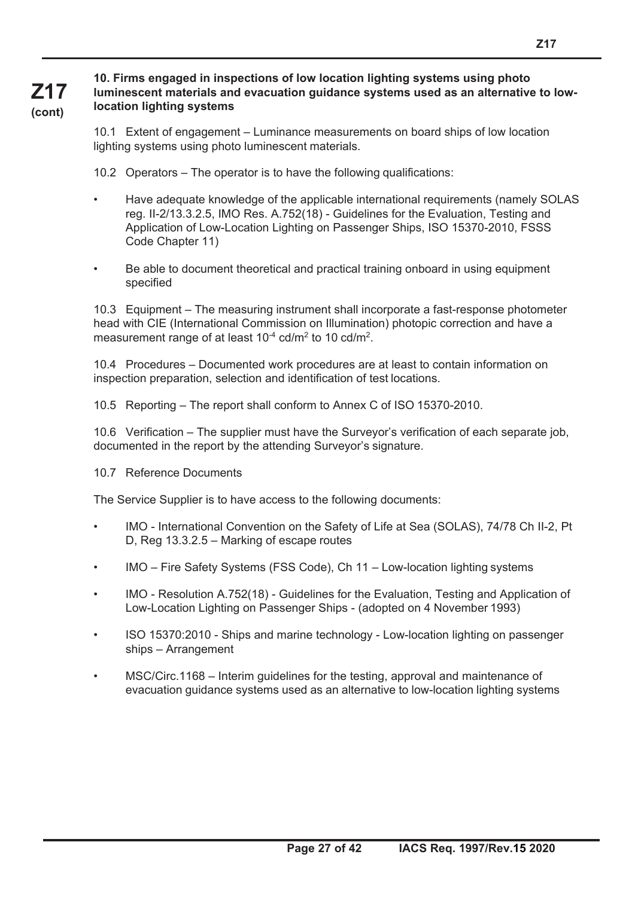#### **10. Firms engaged in inspections of low location lighting systems using photo luminescent materials and evacuation guidance systems used as an alternative to lowlocation lighting systems**

10.1 Extent of engagement – Luminance measurements on board ships of low location lighting systems using photo luminescent materials.

10.2 Operators – The operator is to have the following qualifications:

- Have adequate knowledge of the applicable international requirements (namely SOLAS reg. II-2/13.3.2.5, IMO Res. A.752(18) - Guidelines for the Evaluation, Testing and Application of Low-Location Lighting on Passenger Ships, ISO 15370-2010, FSSS Code Chapter 11)
- Be able to document theoretical and practical training onboard in using equipment specified

10.3 Equipment – The measuring instrument shall incorporate a fast-response photometer head with CIE (International Commission on Illumination) photopic correction and have a measurement range of at least 10<sup>-4</sup> cd/m<sup>2</sup> to 10 cd/m<sup>2</sup>.

10.4 Procedures – Documented work procedures are at least to contain information on inspection preparation, selection and identification of test locations.

10.5 Reporting – The report shall conform to Annex C of ISO 15370-2010.

10.6 Verification – The supplier must have the Surveyor's verification of each separate job, documented in the report by the attending Surveyor's signature.

10.7 Reference Documents

**Z17 (cont)**

The Service Supplier is to have access to the following documents:

- IMO International Convention on the Safety of Life at Sea (SOLAS), 74/78 Ch II-2, Pt D, Reg 13.3.2.5 – Marking of escape routes
- IMO Fire Safety Systems (FSS Code), Ch 11 Low-location lighting systems
- IMO Resolution A.752(18) Guidelines for the Evaluation, Testing and Application of Low-Location Lighting on Passenger Ships - (adopted on 4 November 1993)
- ISO 15370:2010 Ships and marine technology Low-location lighting on passenger ships – Arrangement
- MSC/Circ.1168 Interim guidelines for the testing, approval and maintenance of evacuation guidance systems used as an alternative to low-location lighting systems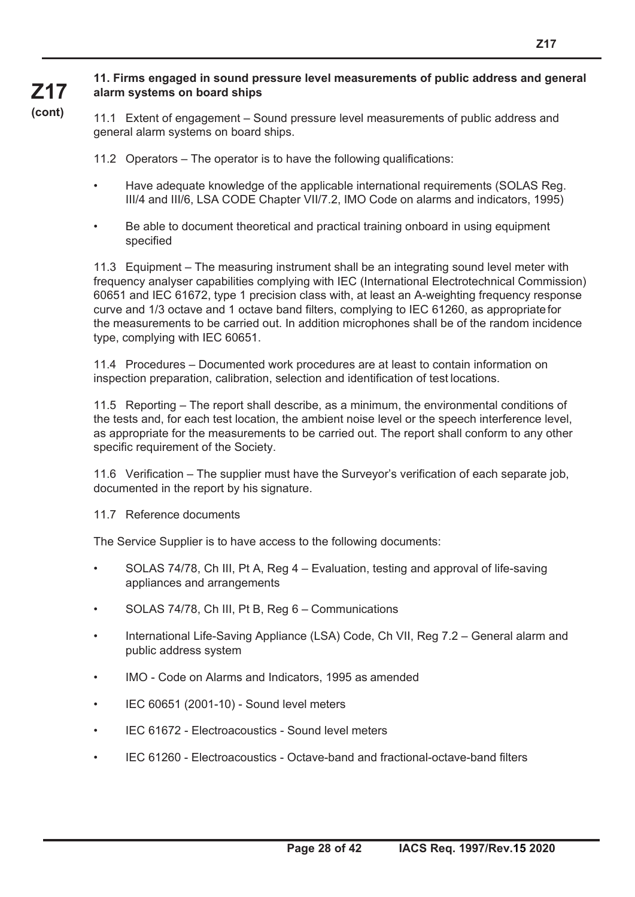#### **11. Firms engaged in sound pressure level measurements of public address and general alarm systems on board ships**

**Z17 (cont)**

11.1 Extent of engagement – Sound pressure level measurements of public address and general alarm systems on board ships.

11.2 Operators – The operator is to have the following qualifications:

- Have adequate knowledge of the applicable international requirements (SOLAS Reg. III/4 and III/6, LSA CODE Chapter VII/7.2, IMO Code on alarms and indicators, 1995)
- Be able to document theoretical and practical training onboard in using equipment specified

11.3 Equipment – The measuring instrument shall be an integrating sound level meter with frequency analyser capabilities complying with IEC (International Electrotechnical Commission) 60651 and IEC 61672, type 1 precision class with, at least an A-weighting frequency response curve and 1/3 octave and 1 octave band filters, complying to IEC 61260, as appropriate for the measurements to be carried out. In addition microphones shall be of the random incidence type, complying with IEC 60651.

11.4 Procedures – Documented work procedures are at least to contain information on inspection preparation, calibration, selection and identification of test locations.

11.5 Reporting – The report shall describe, as a minimum, the environmental conditions of the tests and, for each test location, the ambient noise level or the speech interference level, as appropriate for the measurements to be carried out. The report shall conform to any other specific requirement of the Society.

11.6 Verification – The supplier must have the Surveyor's verification of each separate job, documented in the report by his signature.

11.7 Reference documents

The Service Supplier is to have access to the following documents:

- SOLAS 74/78, Ch III, Pt A, Reg 4 Evaluation, testing and approval of life-saving appliances and arrangements
- SOLAS 74/78, Ch III, Pt B, Reg 6 Communications
- International Life-Saving Appliance (LSA) Code, Ch VII, Reg 7.2 General alarm and public address system
- IMO Code on Alarms and Indicators, 1995 as amended
- IEC 60651 (2001-10) Sound level meters
- IEC 61672 Electroacoustics Sound level meters
- IEC 61260 Electroacoustics Octave-band and fractional-octave-band filters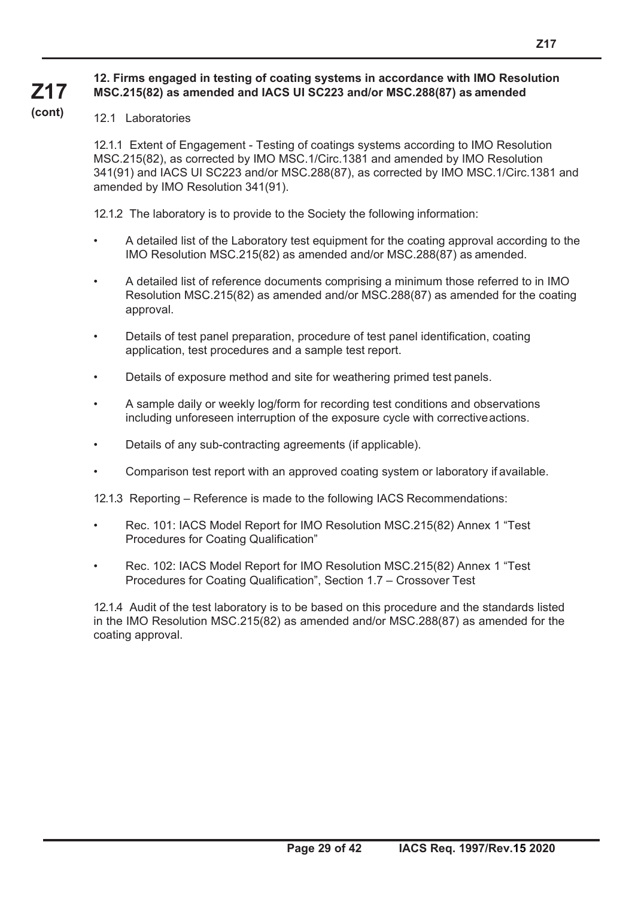#### **12. Firms engaged in testing of coating systems in accordance with IMO Resolution MSC.215(82) as amended and IACS UI SC223 and/or MSC.288(87) as amended**

#### **(cont)**

**Z17**

#### 12.1 Laboratories

12.1.1 Extent of Engagement - Testing of coatings systems according to IMO Resolution MSC.215(82), as corrected by IMO MSC.1/Circ.1381 and amended by IMO Resolution 341(91) and IACS UI SC223 and/or MSC.288(87), as corrected by IMO MSC.1/Circ.1381 and amended by IMO Resolution 341(91).

12.1.2 The laboratory is to provide to the Society the following information:

- A detailed list of the Laboratory test equipment for the coating approval according to the IMO Resolution MSC.215(82) as amended and/or MSC.288(87) as amended.
- A detailed list of reference documents comprising a minimum those referred to in IMO Resolution MSC.215(82) as amended and/or MSC.288(87) as amended for the coating approval.
- Details of test panel preparation, procedure of test panel identification, coating application, test procedures and a sample test report.
- Details of exposure method and site for weathering primed test panels.
- A sample daily or weekly log/form for recording test conditions and observations including unforeseen interruption of the exposure cycle with corrective actions.
- Details of any sub-contracting agreements (if applicable).
- Comparison test report with an approved coating system or laboratory if available.
- 12.1.3 Reporting Reference is made to the following IACS Recommendations:
- Rec. 101: IACS Model Report for IMO Resolution MSC.215(82) Annex 1 "Test Procedures for Coating Qualification"
- Rec. 102: IACS Model Report for IMO Resolution MSC.215(82) Annex 1 "Test Procedures for Coating Qualification", Section 1.7 – Crossover Test

12.1.4 Audit of the test laboratory is to be based on this procedure and the standards listed in the IMO Resolution MSC.215(82) as amended and/or MSC.288(87) as amended for the coating approval.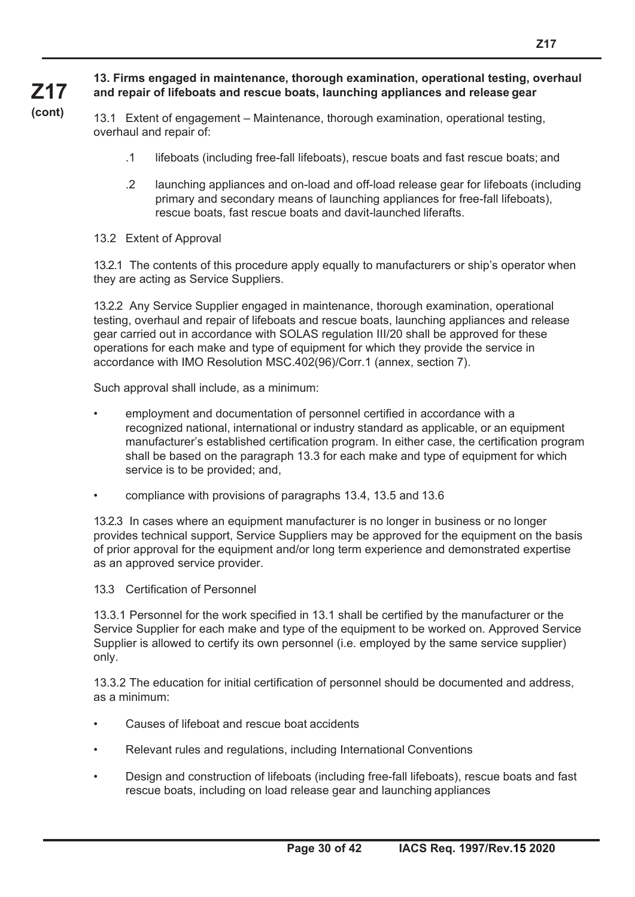#### **13. Firms engaged in maintenance, thorough examination, operational testing, overhaul and repair of lifeboats and rescue boats, launching appliances and release gear**

13.1 Extent of engagement – Maintenance, thorough examination, operational testing, overhaul and repair of:

- .1 lifeboats (including free-fall lifeboats), rescue boats and fast rescue boats; and
- .2 launching appliances and on-load and off-load release gear for lifeboats (including primary and secondary means of launching appliances for free-fall lifeboats), rescue boats, fast rescue boats and davit-launched liferafts.
- 13.2 Extent of Approval

**Z17 (cont)**

> 13.2.1 The contents of this procedure apply equally to manufacturers or ship's operator when they are acting as Service Suppliers.

13.2.2 Any Service Supplier engaged in maintenance, thorough examination, operational testing, overhaul and repair of lifeboats and rescue boats, launching appliances and release gear carried out in accordance with SOLAS regulation III/20 shall be approved for these operations for each make and type of equipment for which they provide the service in accordance with IMO Resolution MSC.402(96)/Corr.1 (annex, section 7).

Such approval shall include, as a minimum:

- employment and documentation of personnel certified in accordance with a recognized national, international or industry standard as applicable, or an equipment manufacturer's established certification program. In either case, the certification program shall be based on the paragraph 13.3 for each make and type of equipment for which service is to be provided; and,
- compliance with provisions of paragraphs 13.4, 13.5 and 13.6

13.2.3 In cases where an equipment manufacturer is no longer in business or no longer provides technical support, Service Suppliers may be approved for the equipment on the basis of prior approval for the equipment and/or long term experience and demonstrated expertise as an approved service provider.

13.3 Certification of Personnel

13.3.1 Personnel for the work specified in 13.1 shall be certified by the manufacturer or the Service Supplier for each make and type of the equipment to be worked on. Approved Service Supplier is allowed to certify its own personnel (i.e. employed by the same service supplier) only.

13.3.2 The education for initial certification of personnel should be documented and address, as a minimum:

- Causes of lifeboat and rescue boat accidents
- Relevant rules and regulations, including International Conventions
- Design and construction of lifeboats (including free-fall lifeboats), rescue boats and fast rescue boats, including on load release gear and launching appliances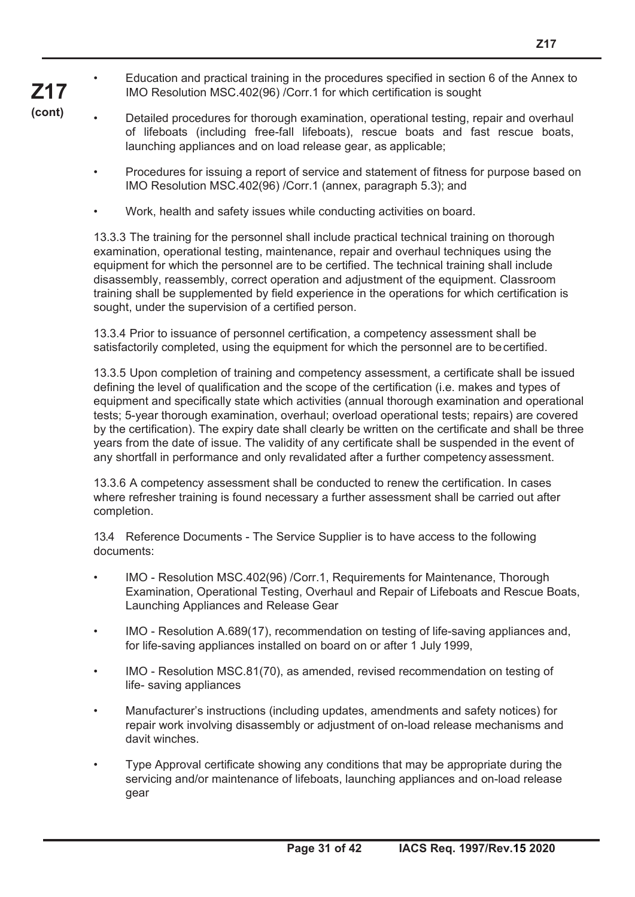• Education and practical training in the procedures specified in section 6 of the Annex to IMO Resolution MSC.402(96) /Corr.1 for which certification is sought

**Z17 (cont)**

• Detailed procedures for thorough examination, operational testing, repair and overhaul of lifeboats (including free-fall lifeboats), rescue boats and fast rescue boats, launching appliances and on load release gear, as applicable;

- Procedures for issuing a report of service and statement of fitness for purpose based on IMO Resolution MSC.402(96) /Corr.1 (annex, paragraph 5.3); and
- Work, health and safety issues while conducting activities on board.

13.3.3 The training for the personnel shall include practical technical training on thorough examination, operational testing, maintenance, repair and overhaul techniques using the equipment for which the personnel are to be certified. The technical training shall include disassembly, reassembly, correct operation and adjustment of the equipment. Classroom training shall be supplemented by field experience in the operations for which certification is sought, under the supervision of a certified person.

13.3.4 Prior to issuance of personnel certification, a competency assessment shall be satisfactorily completed, using the equipment for which the personnel are to be certified.

13.3.5 Upon completion of training and competency assessment, a certificate shall be issued defining the level of qualification and the scope of the certification (i.e. makes and types of equipment and specifically state which activities (annual thorough examination and operational tests; 5-year thorough examination, overhaul; overload operational tests; repairs) are covered by the certification). The expiry date shall clearly be written on the certificate and shall be three years from the date of issue. The validity of any certificate shall be suspended in the event of any shortfall in performance and only revalidated after a further competency assessment.

13.3.6 A competency assessment shall be conducted to renew the certification. In cases where refresher training is found necessary a further assessment shall be carried out after completion.

13.4 Reference Documents - The Service Supplier is to have access to the following documents:

- IMO Resolution MSC.402(96) /Corr.1, Requirements for Maintenance, Thorough Examination, Operational Testing, Overhaul and Repair of Lifeboats and Rescue Boats, Launching Appliances and Release Gear
- IMO Resolution A.689(17), recommendation on testing of life-saving appliances and, for life-saving appliances installed on board on or after 1 July 1999,
- IMO Resolution MSC.81(70), as amended, revised recommendation on testing of life- saving appliances
- Manufacturer's instructions (including updates, amendments and safety notices) for repair work involving disassembly or adjustment of on-load release mechanisms and davit winches.
- Type Approval certificate showing any conditions that may be appropriate during the servicing and/or maintenance of lifeboats, launching appliances and on-load release gear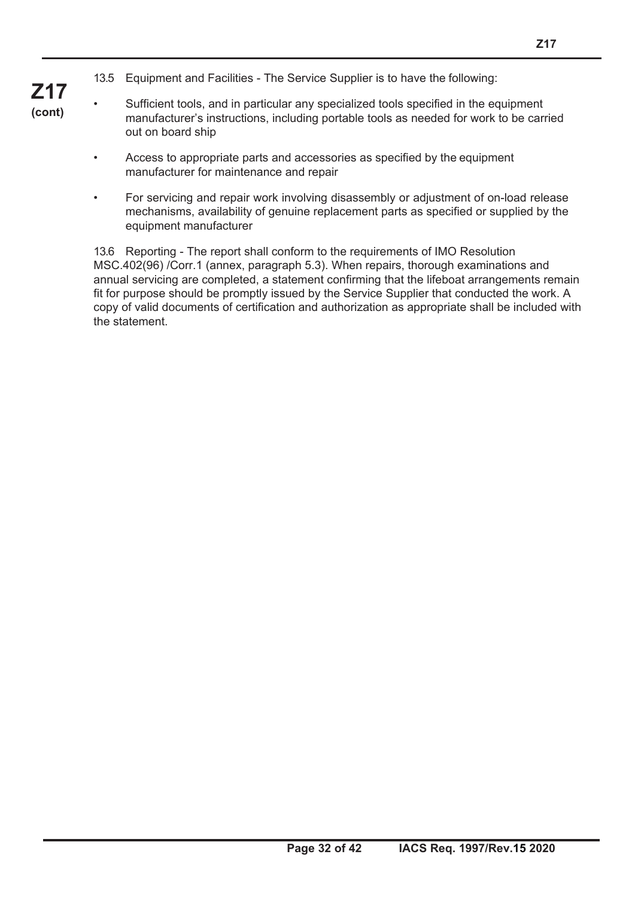- 13.5 Equipment and Facilities The Service Supplier is to have the following:
- **Z17 (cont)**
- Sufficient tools, and in particular any specialized tools specified in the equipment manufacturer's instructions, including portable tools as needed for work to be carried out on board ship
- Access to appropriate parts and accessories as specified by the equipment manufacturer for maintenance and repair
- For servicing and repair work involving disassembly or adjustment of on-load release mechanisms, availability of genuine replacement parts as specified or supplied by the equipment manufacturer

13.6 Reporting - The report shall conform to the requirements of IMO Resolution MSC.402(96) /Corr.1 (annex, paragraph 5.3). When repairs, thorough examinations and annual servicing are completed, a statement confirming that the lifeboat arrangements remain fit for purpose should be promptly issued by the Service Supplier that conducted the work. A copy of valid documents of certification and authorization as appropriate shall be included with the statement.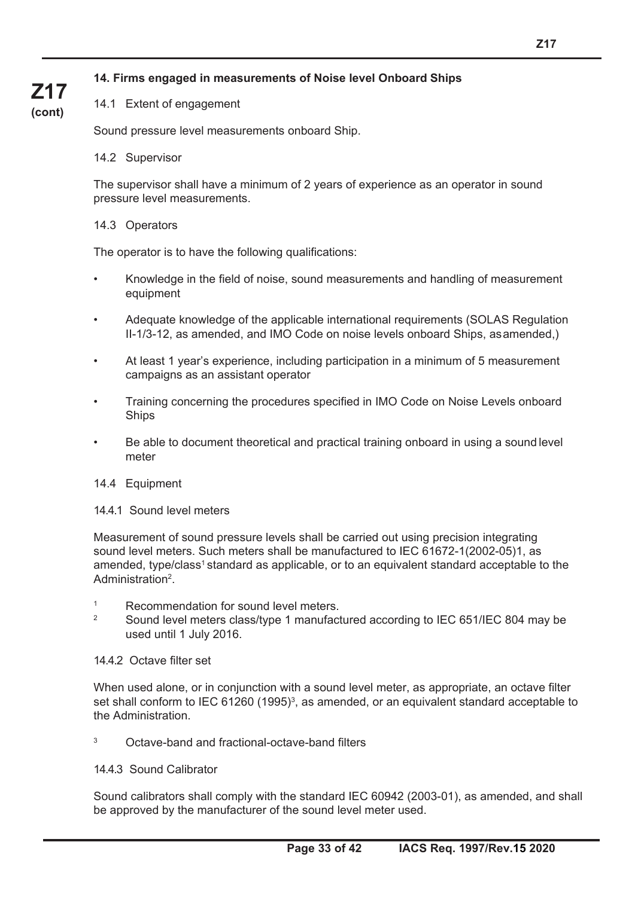#### **14. Firms engaged in measurements of Noise level Onboard Ships**

#### 14.1 Extent of engagement

Sound pressure level measurements onboard Ship.

#### 14.2 Supervisor

**Z17 (cont)**

> The supervisor shall have a minimum of 2 years of experience as an operator in sound pressure level measurements.

#### 14.3 Operators

The operator is to have the following qualifications:

- Knowledge in the field of noise, sound measurements and handling of measurement equipment
- Adequate knowledge of the applicable international requirements (SOLAS Regulation II-1/3-12, as amended, and IMO Code on noise levels onboard Ships, as amended,)
- At least 1 year's experience, including participation in a minimum of 5 measurement campaigns as an assistant operator
- Training concerning the procedures specified in IMO Code on Noise Levels onboard Ships
- Be able to document theoretical and practical training onboard in using a sound level meter

#### 14.4 Equipment

14.4.1 Sound level meters

Measurement of sound pressure levels shall be carried out using precision integrating sound level meters. Such meters shall be manufactured to IEC 61672-1(2002-05)1, as amended, type/class<sup>1</sup> standard as applicable, or to an equivalent standard acceptable to the Administration2.

- 1 Recommendation for sound level meters.
- <sup>2</sup> Sound level meters class/type 1 manufactured according to IEC 651/IEC 804 may be used until 1 July 2016.

#### 14.4.2 Octave filter set

When used alone, or in conjunction with a sound level meter, as appropriate, an octave filter set shall conform to IEC 61260 (1995)<sup>3</sup>, as amended, or an equivalent standard acceptable to the Administration.

3 Octave-band and fractional-octave-band filters

#### 14.4.3 Sound Calibrator

Sound calibrators shall comply with the standard IEC 60942 (2003-01), as amended, and shall be approved by the manufacturer of the sound level meter used.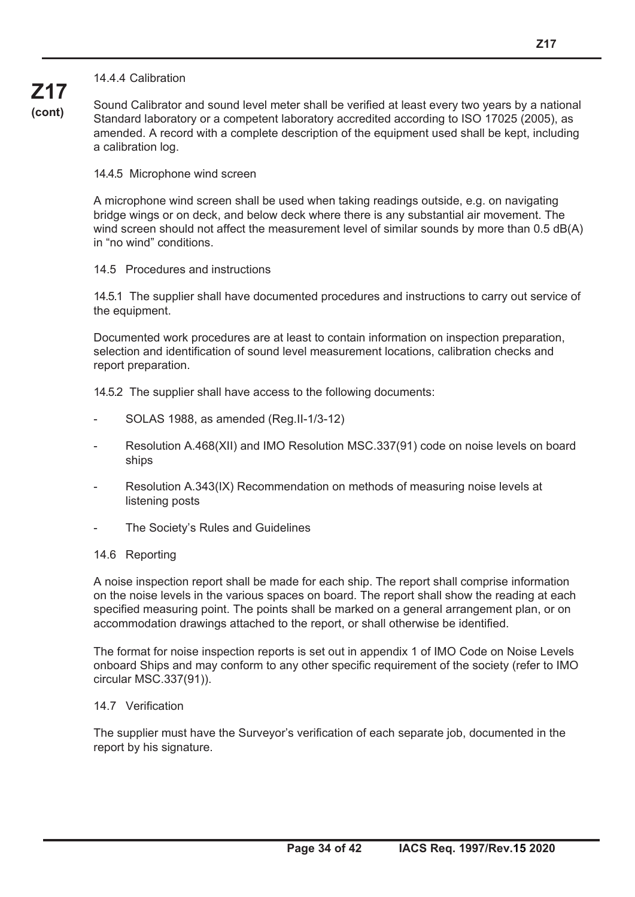**Z17 (cont)** Sound Calibrator and sound level meter shall be verified at least every two years by a national Standard laboratory or a competent laboratory accredited according to ISO 17025 (2005), as amended. A record with a complete description of the equipment used shall be kept, including a calibration log.

14.4.5 Microphone wind screen

A microphone wind screen shall be used when taking readings outside, e.g. on navigating bridge wings or on deck, and below deck where there is any substantial air movement. The wind screen should not affect the measurement level of similar sounds by more than 0.5 dB(A) in "no wind" conditions.

#### 14.5 Procedures and instructions

14.5.1 The supplier shall have documented procedures and instructions to carry out service of the equipment.

Documented work procedures are at least to contain information on inspection preparation, selection and identification of sound level measurement locations, calibration checks and report preparation.

14.5.2 The supplier shall have access to the following documents:

- SOLAS 1988, as amended (Reg.II-1/3-12)
- Resolution A.468(XII) and IMO Resolution MSC.337(91) code on noise levels on board ships
- Resolution A.343(IX) Recommendation on methods of measuring noise levels at listening posts
- The Society's Rules and Guidelines

#### 14.6 Reporting

A noise inspection report shall be made for each ship. The report shall comprise information on the noise levels in the various spaces on board. The report shall show the reading at each specified measuring point. The points shall be marked on a general arrangement plan, or on accommodation drawings attached to the report, or shall otherwise be identified.

The format for noise inspection reports is set out in appendix 1 of IMO Code on Noise Levels onboard Ships and may conform to any other specific requirement of the society (refer to IMO circular MSC.337(91)).

#### 14.7 Verification

The supplier must have the Surveyor's verification of each separate job, documented in the report by his signature.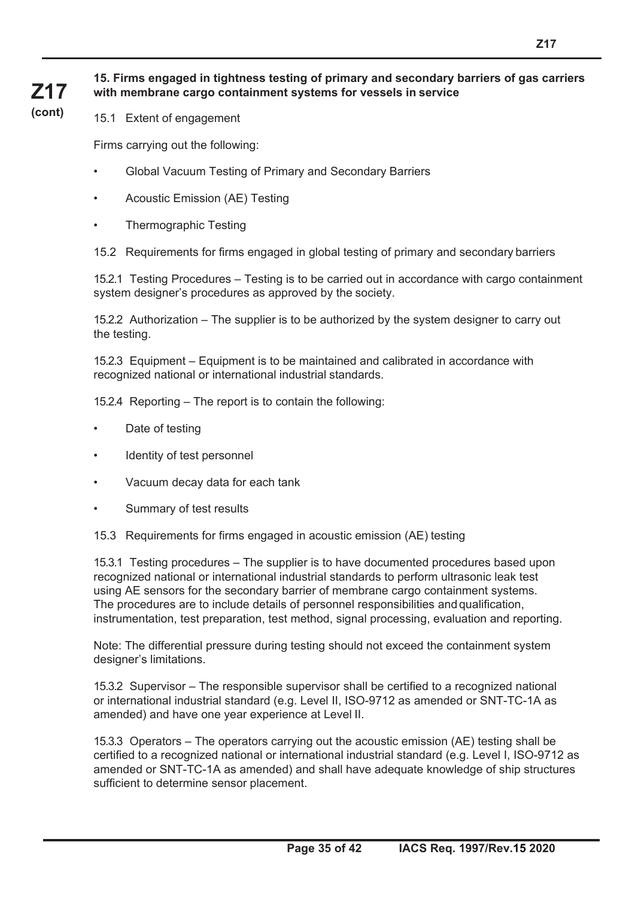#### **15. Firms engaged in tightness testing of primary and secondary barriers of gas carriers with membrane cargo containment systems for vessels in service**

**(cont)**

**Z17**

15.1 Extent of engagement

Firms carrying out the following:

- Global Vacuum Testing of Primary and Secondary Barriers
- Acoustic Emission (AE) Testing
- Thermographic Testing

15.2 Requirements for firms engaged in global testing of primary and secondary barriers

15.2.1 Testing Procedures – Testing is to be carried out in accordance with cargo containment system designer's procedures as approved by the society.

15.2.2 Authorization – The supplier is to be authorized by the system designer to carry out the testing.

15.2.3 Equipment – Equipment is to be maintained and calibrated in accordance with recognized national or international industrial standards.

15.2.4 Reporting – The report is to contain the following:

- Date of testing
- Identity of test personnel
- Vacuum decay data for each tank
- Summary of test results
- 15.3 Requirements for firms engaged in acoustic emission (AE) testing

15.3.1 Testing procedures – The supplier is to have documented procedures based upon recognized national or international industrial standards to perform ultrasonic leak test using AE sensors for the secondary barrier of membrane cargo containment systems. The procedures are to include details of personnel responsibilities and qualification, instrumentation, test preparation, test method, signal processing, evaluation and reporting.

Note: The differential pressure during testing should not exceed the containment system designer's limitations.

15.3.2 Supervisor – The responsible supervisor shall be certified to a recognized national or international industrial standard (e.g. Level II, ISO-9712 as amended or SNT-TC-1A as amended) and have one year experience at Level II.

15.3.3 Operators – The operators carrying out the acoustic emission (AE) testing shall be certified to a recognized national or international industrial standard (e.g. Level I, ISO-9712 as amended or SNT-TC-1A as amended) and shall have adequate knowledge of ship structures sufficient to determine sensor placement.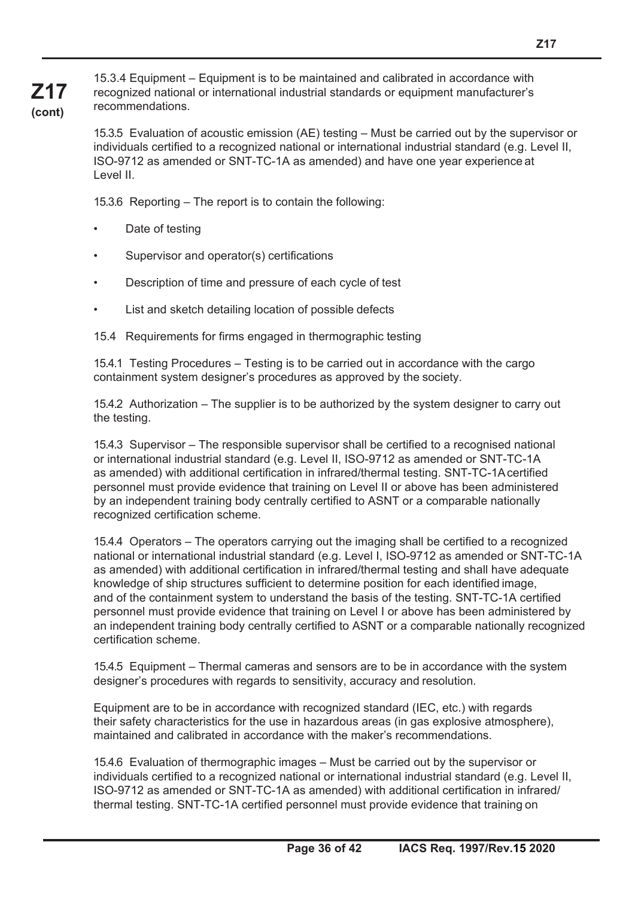15.3.4 Equipment – Equipment is to be maintained and calibrated in accordance with recognized national or international industrial standards or equipment manufacturer's recommendations.

15.3.5 Evaluation of acoustic emission (AE) testing – Must be carried out by the supervisor or individuals certified to a recognized national or international industrial standard (e.g. Level II, ISO-9712 as amended or SNT-TC-1A as amended) and have one year experience at Level II.

15.3.6 Reporting – The report is to contain the following:

Date of testing

**Z17 (cont)**

- Supervisor and operator(s) certifications
- Description of time and pressure of each cycle of test
- List and sketch detailing location of possible defects

15.4 Requirements for firms engaged in thermographic testing

15.4.1 Testing Procedures – Testing is to be carried out in accordance with the cargo containment system designer's procedures as approved by the society.

15.4.2 Authorization – The supplier is to be authorized by the system designer to carry out the testing.

15.4.3 Supervisor – The responsible supervisor shall be certified to a recognised national or international industrial standard (e.g. Level II, ISO-9712 as amended or SNT-TC-1A as amended) with additional certification in infrared/thermal testing. SNT-TC-1A certified personnel must provide evidence that training on Level II or above has been administered by an independent training body centrally certified to ASNT or a comparable nationally recognized certification scheme.

15.4.4 Operators – The operators carrying out the imaging shall be certified to a recognized national or international industrial standard (e.g. Level I, ISO-9712 as amended or SNT-TC-1A as amended) with additional certification in infrared/thermal testing and shall have adequate knowledge of ship structures sufficient to determine position for each identified image, and of the containment system to understand the basis of the testing. SNT-TC-1A certified personnel must provide evidence that training on Level I or above has been administered by an independent training body centrally certified to ASNT or a comparable nationally recognized certification scheme.

15.4.5 Equipment – Thermal cameras and sensors are to be in accordance with the system designer's procedures with regards to sensitivity, accuracy and resolution.

Equipment are to be in accordance with recognized standard (IEC, etc.) with regards their safety characteristics for the use in hazardous areas (in gas explosive atmosphere), maintained and calibrated in accordance with the maker's recommendations.

15.4.6 Evaluation of thermographic images – Must be carried out by the supervisor or individuals certified to a recognized national or international industrial standard (e.g. Level II, ISO-9712 as amended or SNT-TC-1A as amended) with additional certification in infrared/ thermal testing. SNT-TC-1A certified personnel must provide evidence that training on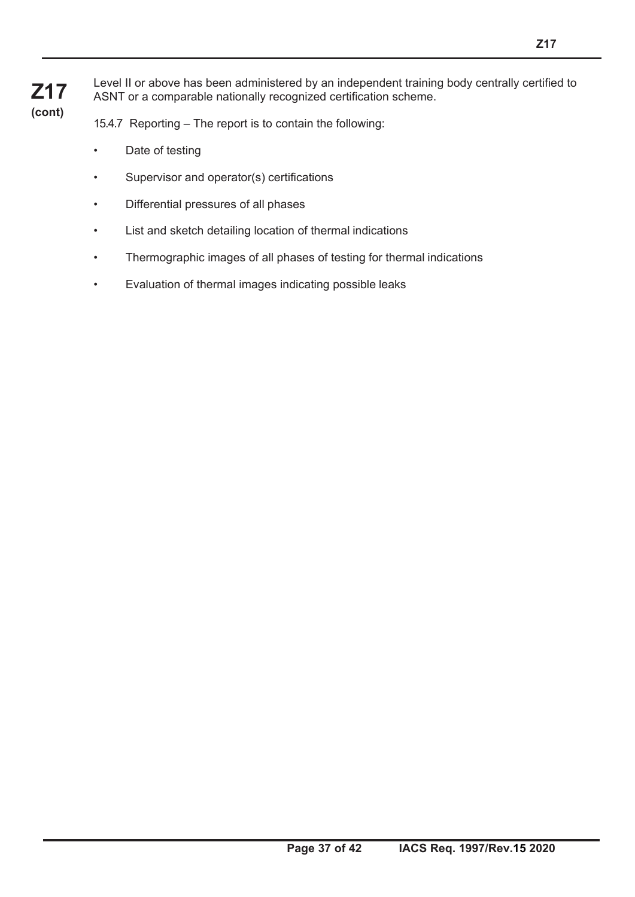Level II or above has been administered by an independent training body centrally certified to ASNT or a comparable nationally recognized certification scheme.

15.4.7 Reporting – The report is to contain the following:

- Date of testing
- Supervisor and operator(s) certifications
- Differential pressures of all phases
- List and sketch detailing location of thermal indications
- Thermographic images of all phases of testing for thermal indications
- Evaluation of thermal images indicating possible leaks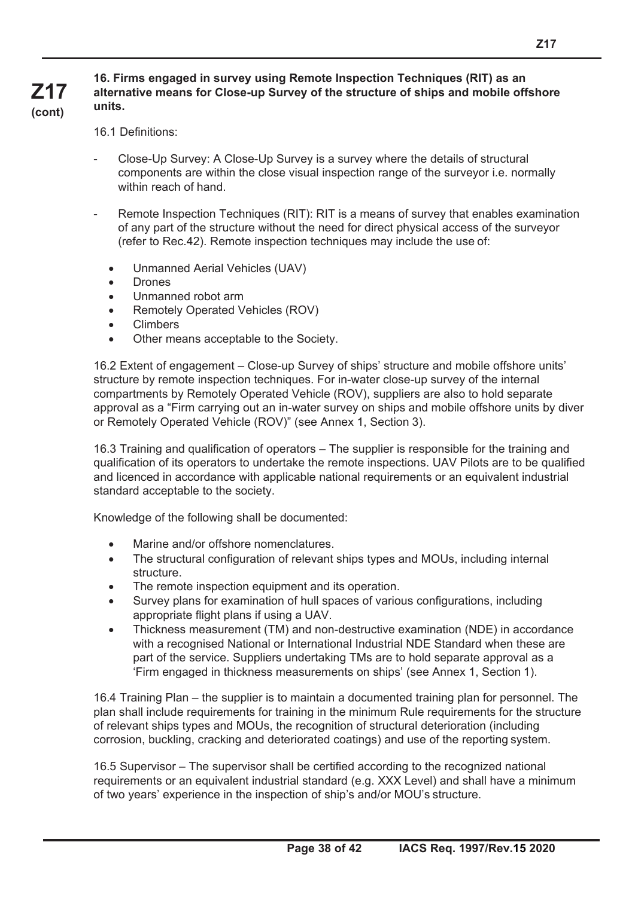#### **Z17 (cont) 16. Firms engaged in survey using Remote Inspection Techniques (RIT) as an alternative means for Close-up Survey of the structure of ships and mobile offshore units.**

16.1 Definitions:

- Close-Up Survey: A Close-Up Survey is a survey where the details of structural components are within the close visual inspection range of the surveyor i.e. normally within reach of hand.
- Remote Inspection Techniques (RIT): RIT is a means of survey that enables examination of any part of the structure without the need for direct physical access of the surveyor (refer to Rec.42). Remote inspection techniques may include the use of:
	- Unmanned Aerial Vehicles (UAV)
	- Drones
	- Unmanned robot arm
	- Remotely Operated Vehicles (ROV)
	- Climbers
	- Other means acceptable to the Society.

16.2 Extent of engagement – Close-up Survey of ships' structure and mobile offshore units' structure by remote inspection techniques. For in-water close-up survey of the internal compartments by Remotely Operated Vehicle (ROV), suppliers are also to hold separate approval as a "Firm carrying out an in-water survey on ships and mobile offshore units by diver or Remotely Operated Vehicle (ROV)" (see Annex 1, Section 3).

16.3 Training and qualification of operators – The supplier is responsible for the training and qualification of its operators to undertake the remote inspections. UAV Pilots are to be qualified and licenced in accordance with applicable national requirements or an equivalent industrial standard acceptable to the society.

Knowledge of the following shall be documented:

- Marine and/or offshore nomenclatures.
- The structural configuration of relevant ships types and MOUs, including internal structure.
- The remote inspection equipment and its operation.
- Survey plans for examination of hull spaces of various configurations, including appropriate flight plans if using a UAV.
- Thickness measurement (TM) and non-destructive examination (NDE) in accordance with a recognised National or International Industrial NDE Standard when these are part of the service. Suppliers undertaking TMs are to hold separate approval as a 'Firm engaged in thickness measurements on ships' (see Annex 1, Section 1).

16.4 Training Plan – the supplier is to maintain a documented training plan for personnel. The plan shall include requirements for training in the minimum Rule requirements for the structure of relevant ships types and MOUs, the recognition of structural deterioration (including corrosion, buckling, cracking and deteriorated coatings) and use of the reporting system.

16.5 Supervisor – The supervisor shall be certified according to the recognized national requirements or an equivalent industrial standard (e.g. XXX Level) and shall have a minimum of two years' experience in the inspection of ship's and/or MOU's structure.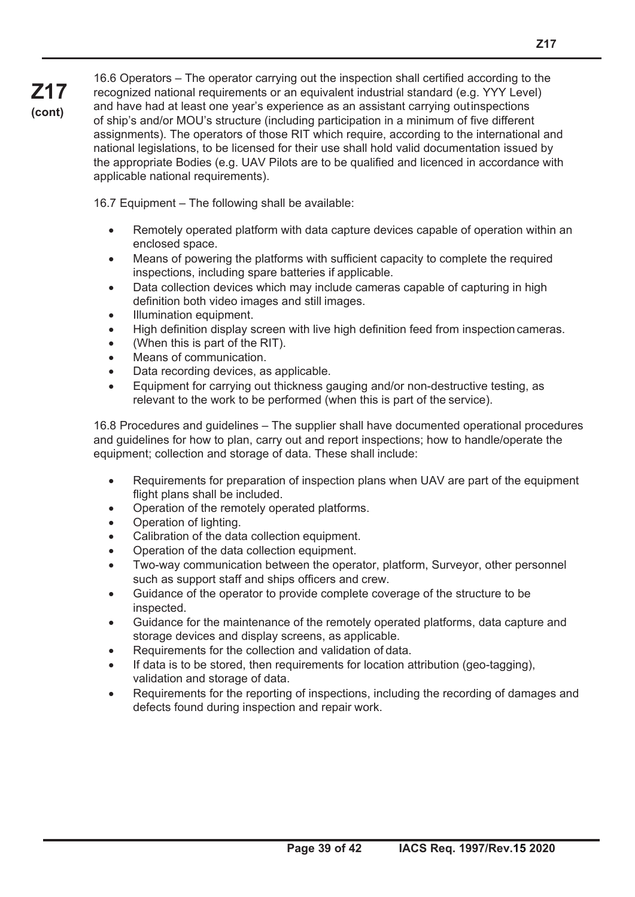16.6 Operators – The operator carrying out the inspection shall certified according to the recognized national requirements or an equivalent industrial standard (e.g. YYY Level) and have had at least one year's experience as an assistant carrying out inspections of ship's and/or MOU's structure (including participation in a minimum of five different assignments). The operators of those RIT which require, according to the international and national legislations, to be licensed for their use shall hold valid documentation issued by the appropriate Bodies (e.g. UAV Pilots are to be qualified and licenced in accordance with applicable national requirements).

16.7 Equipment – The following shall be available:

- Remotely operated platform with data capture devices capable of operation within an enclosed space.
- Means of powering the platforms with sufficient capacity to complete the required inspections, including spare batteries if applicable.
- Data collection devices which may include cameras capable of capturing in high definition both video images and still images.
- Illumination equipment.

**Z17 (cont)**

- High definition display screen with live high definition feed from inspection cameras.
- (When this is part of the RIT).
- Means of communication.
- Data recording devices, as applicable.
- Equipment for carrying out thickness gauging and/or non-destructive testing, as relevant to the work to be performed (when this is part of the service).

16.8 Procedures and guidelines – The supplier shall have documented operational procedures and guidelines for how to plan, carry out and report inspections; how to handle/operate the equipment; collection and storage of data. These shall include:

- Requirements for preparation of inspection plans when UAV are part of the equipment flight plans shall be included.
- Operation of the remotely operated platforms.
- Operation of lighting.
- Calibration of the data collection equipment.
- Operation of the data collection equipment.
- Two-way communication between the operator, platform, Surveyor, other personnel such as support staff and ships officers and crew.
- Guidance of the operator to provide complete coverage of the structure to be inspected.
- Guidance for the maintenance of the remotely operated platforms, data capture and storage devices and display screens, as applicable.
- Requirements for the collection and validation of data.
- If data is to be stored, then requirements for location attribution (geo-tagging), validation and storage of data.
- Requirements for the reporting of inspections, including the recording of damages and defects found during inspection and repair work.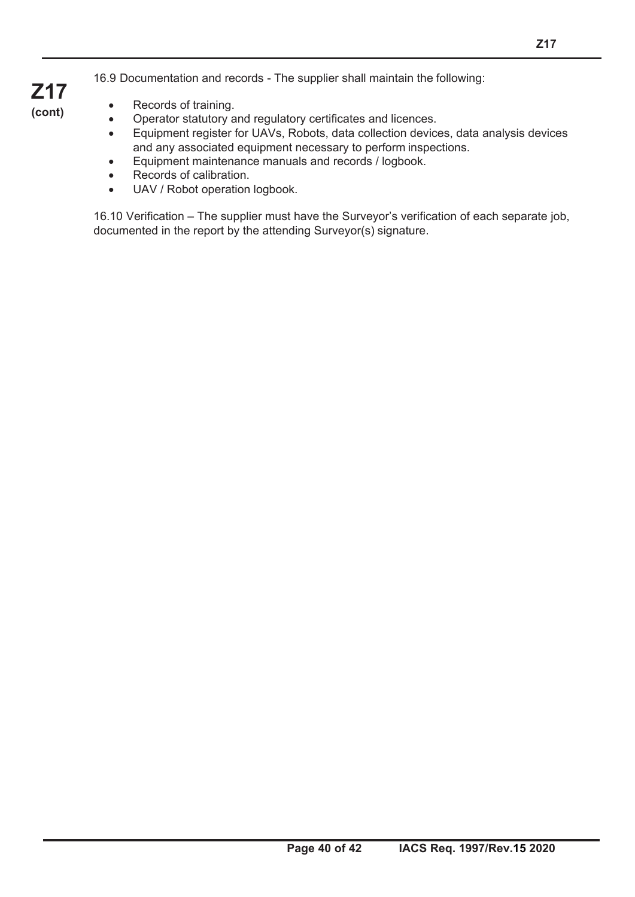- Records of training.
- Operator statutory and regulatory certificates and licences.
- Equipment register for UAVs, Robots, data collection devices, data analysis devices and any associated equipment necessary to perform inspections.
- Equipment maintenance manuals and records / logbook.
- Records of calibration.
- UAV / Robot operation logbook.

16.10 Verification – The supplier must have the Surveyor's verification of each separate job, documented in the report by the attending Surveyor(s) signature.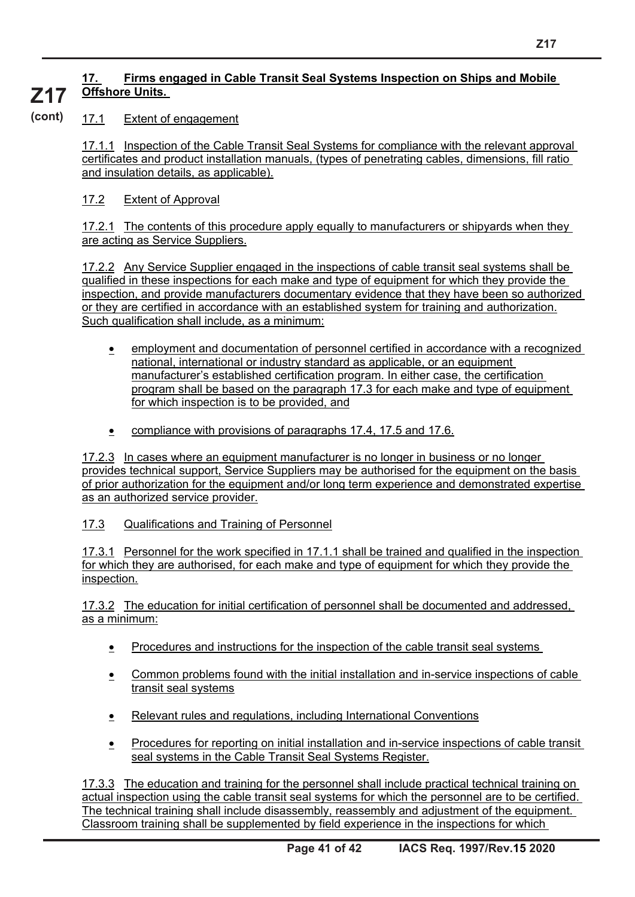#### **17. Firms engaged in Cable Transit Seal Systems Inspection on Ships and Mobile Offshore Units. Z17**

#### 17.1 Extent of engagement **(cont)**

17.1.1 Inspection of the Cable Transit Seal Systems for compliance with the relevant approval certificates and product installation manuals, (types of penetrating cables, dimensions, fill ratio and insulation details, as applicable).

#### 17.2 Extent of Approval

17.2.1 The contents of this procedure apply equally to manufacturers or shipyards when they are acting as Service Suppliers.

17.2.2 Any Service Supplier engaged in the inspections of cable transit seal systems shall be qualified in these inspections for each make and type of equipment for which they provide the inspection, and provide manufacturers documentary evidence that they have been so authorized or they are certified in accordance with an established system for training and authorization. Such qualification shall include, as a minimum:

- employment and documentation of personnel certified in accordance with a recognized national, international or industry standard as applicable, or an equipment manufacturer's established certification program. In either case, the certification program shall be based on the paragraph 17.3 for each make and type of equipment for which inspection is to be provided, and
- compliance with provisions of paragraphs 17.4, 17.5 and 17.6.

17.2.3 In cases where an equipment manufacturer is no longer in business or no longer provides technical support, Service Suppliers may be authorised for the equipment on the basis of prior authorization for the equipment and/or long term experience and demonstrated expertise as an authorized service provider.

17.3 Qualifications and Training of Personnel

17.3.1 Personnel for the work specified in 17.1.1 shall be trained and qualified in the inspection for which they are authorised, for each make and type of equipment for which they provide the inspection.

17.3.2 The education for initial certification of personnel shall be documented and addressed, as a minimum:

- Procedures and instructions for the inspection of the cable transit seal systems
- Common problems found with the initial installation and in-service inspections of cable transit seal systems
- Relevant rules and regulations, including International Conventions
- Procedures for reporting on initial installation and in-service inspections of cable transit seal systems in the Cable Transit Seal Systems Register.

17.3.3 The education and training for the personnel shall include practical technical training on actual inspection using the cable transit seal systems for which the personnel are to be certified. The technical training shall include disassembly, reassembly and adjustment of the equipment. Classroom training shall be supplemented by field experience in the inspections for which